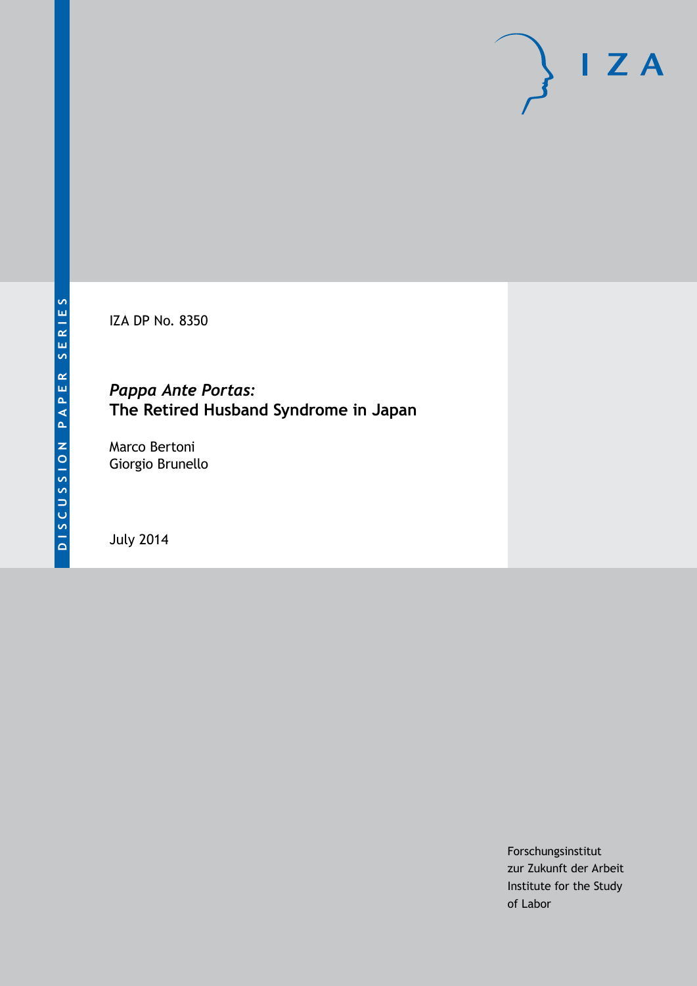IZA DP No. 8350

# *Pappa Ante Portas:* **The Retired Husband Syndrome in Japan**

Marco Bertoni Giorgio Brunello

July 2014

Forschungsinstitut zur Zukunft der Arbeit Institute for the Study of Labor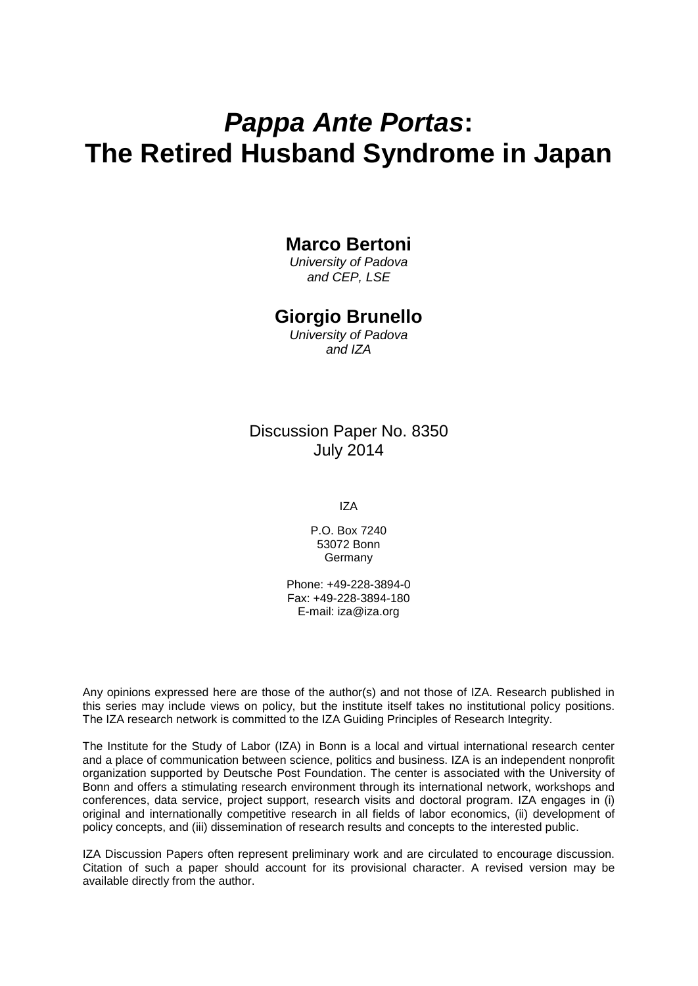# *Pappa Ante Portas***: The Retired Husband Syndrome in Japan**

# **Marco Bertoni**

*University of Padova and CEP, LSE*

# **Giorgio Brunello**

*University of Padova and IZA*

# Discussion Paper No. 8350 July 2014

IZA

P.O. Box 7240 53072 Bonn **Germany** 

Phone: +49-228-3894-0 Fax: +49-228-3894-180 E-mail: [iza@iza.org](mailto:iza@iza.org)

Any opinions expressed here are those of the author(s) and not those of IZA. Research published in this series may include views on policy, but the institute itself takes no institutional policy positions. The IZA research network is committed to the IZA Guiding Principles of Research Integrity.

The Institute for the Study of Labor (IZA) in Bonn is a local and virtual international research center and a place of communication between science, politics and business. IZA is an independent nonprofit organization supported by Deutsche Post Foundation. The center is associated with the University of Bonn and offers a stimulating research environment through its international network, workshops and conferences, data service, project support, research visits and doctoral program. IZA engages in (i) original and internationally competitive research in all fields of labor economics, (ii) development of policy concepts, and (iii) dissemination of research results and concepts to the interested public.

IZA Discussion Papers often represent preliminary work and are circulated to encourage discussion. Citation of such a paper should account for its provisional character. A revised version may be available directly from the author.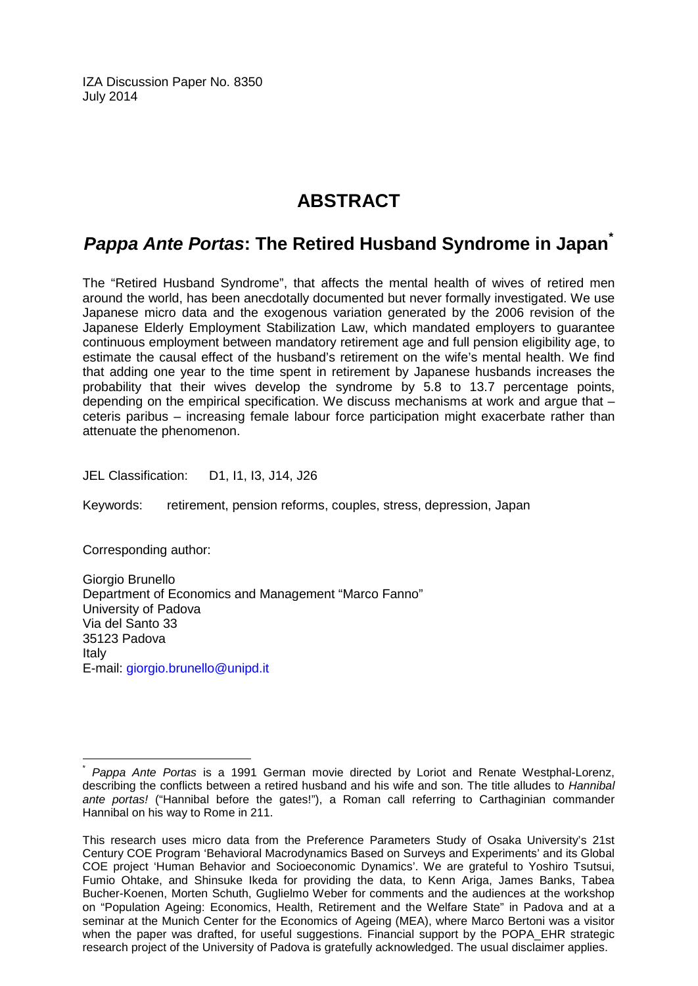IZA Discussion Paper No. 8350 July 2014

# **ABSTRACT**

# *Pappa Ante Portas***: The Retired Husband Syndrome in Japan[\\*](#page-2-0)**

The "Retired Husband Syndrome", that affects the mental health of wives of retired men around the world, has been anecdotally documented but never formally investigated. We use Japanese micro data and the exogenous variation generated by the 2006 revision of the Japanese Elderly Employment Stabilization Law, which mandated employers to guarantee continuous employment between mandatory retirement age and full pension eligibility age, to estimate the causal effect of the husband's retirement on the wife's mental health. We find that adding one year to the time spent in retirement by Japanese husbands increases the probability that their wives develop the syndrome by 5.8 to 13.7 percentage points, depending on the empirical specification. We discuss mechanisms at work and argue that – ceteris paribus – increasing female labour force participation might exacerbate rather than attenuate the phenomenon.

JEL Classification: D1, I1, I3, J14, J26

Keywords: retirement, pension reforms, couples, stress, depression, Japan

Corresponding author:

Giorgio Brunello Department of Economics and Management "Marco Fanno" University of Padova Via del Santo 33 35123 Padova Italy E-mail: [giorgio.brunello@unipd.it](mailto:giorgio.brunello@unipd.it)

<span id="page-2-0"></span>\* *Pappa Ante Portas* is a 1991 German movie directed by Loriot and Renate Westphal-Lorenz, describing the conflicts between a retired husband and his wife and son. The title alludes to *Hannibal ante portas!* ("Hannibal before the gates!"), a Roman call referring to Carthaginian commander Hannibal on his way to Rome in 211.

This research uses micro data from the Preference Parameters Study of Osaka University's 21st Century COE Program 'Behavioral Macrodynamics Based on Surveys and Experiments' and its Global COE project 'Human Behavior and Socioeconomic Dynamics'. We are grateful to Yoshiro Tsutsui, Fumio Ohtake, and Shinsuke Ikeda for providing the data, to Kenn Ariga, James Banks, Tabea Bucher-Koenen, Morten Schuth, Guglielmo Weber for comments and the audiences at the workshop on "Population Ageing: Economics, Health, Retirement and the Welfare State" in Padova and at a seminar at the Munich Center for the Economics of Ageing (MEA), where Marco Bertoni was a visitor when the paper was drafted, for useful suggestions. Financial support by the POPA\_EHR strategic research project of the University of Padova is gratefully acknowledged. The usual disclaimer applies.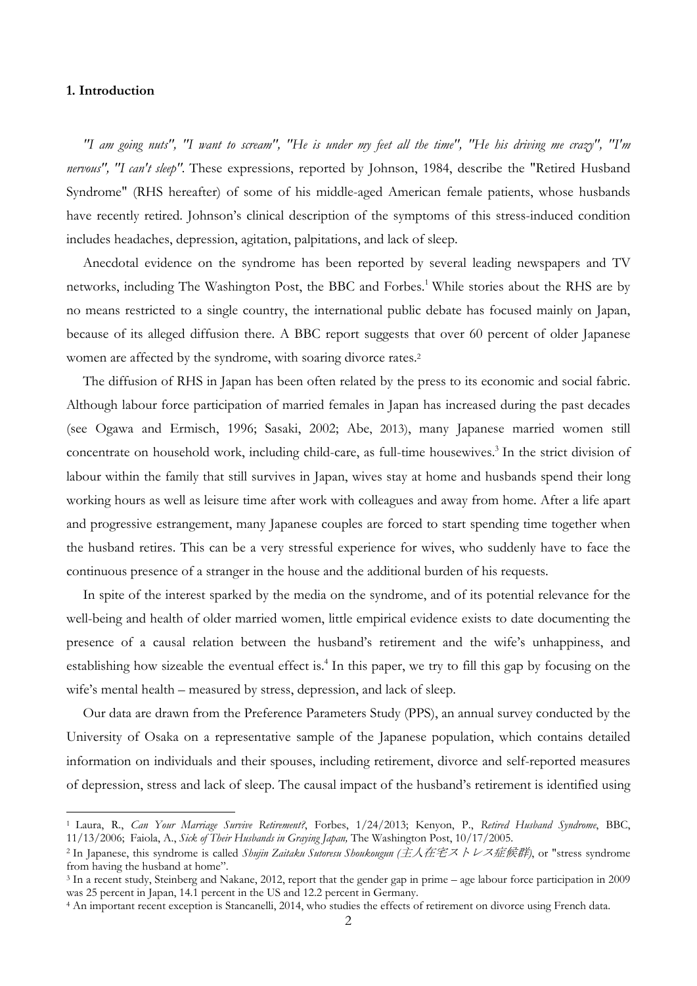#### **1. Introduction**

*"I am going nuts", "I want to scream", "He is under my feet all the time", "He his driving me crazy", "I'm nervous", "I can't sleep".* These expressions, reported by Johnson, 1984, describe the "Retired Husband Syndrome" (RHS hereafter) of some of his middle-aged American female patients, whose husbands have recently retired. Johnson's clinical description of the symptoms of this stress-induced condition includes headaches, depression, agitation, palpitations, and lack of sleep.

Anecdotal evidence on the syndrome has been reported by several leading newspapers and TV networks, including The Washington Post, the BBC and Forbes.<sup>1</sup> While stories about the RHS are by no means restricted to a single country, the international public debate has focused mainly on Japan, because of its alleged diffusion there. A BBC report suggests that over 60 percent of older Japanese women are affected by the syndrome, with soaring divorce rates.<sup>2</sup>

The diffusion of RHS in Japan has been often related by the press to its economic and social fabric. Although labour force participation of married females in Japan has increased during the past decades (see Ogawa and Ermisch, 1996; Sasaki, 2002; Abe, 2013), many Japanese married women still concentrate on household work, including child-care, as full-time housewives.<sup>3</sup> In the strict division of labour within the family that still survives in Japan, wives stay at home and husbands spend their long working hours as well as leisure time after work with colleagues and away from home. After a life apart and progressive estrangement, many Japanese couples are forced to start spending time together when the husband retires. This can be a very stressful experience for wives, who suddenly have to face the continuous presence of a stranger in the house and the additional burden of his requests.

In spite of the interest sparked by the media on the syndrome, and of its potential relevance for the well-being and health of older married women, little empirical evidence exists to date documenting the presence of a causal relation between the husband's retirement and the wife's unhappiness, and establishing how sizeable the eventual effect is.<sup>4</sup> In this paper, we try to fill this gap by focusing on the wife's mental health – measured by stress, depression, and lack of sleep.

Our data are drawn from the Preference Parameters Study (PPS), an annual survey conducted by the University of Osaka on a representative sample of the Japanese population, which contains detailed information on individuals and their spouses, including retirement, divorce and self-reported measures of depression, stress and lack of sleep. The causal impact of the husband's retirement is identified using

<sup>1</sup> Laura, R., *Can Your Marriage Survive Retirement?*, Forbes, 1/24/2013; Kenyon, P., *Retired Husband Syndrome*, BBC, 11/13/2006; Faiola, A., *Sick of Their Husbands in Graying Japan,* The Washington Post, 10/17/2005.

<sup>2</sup> In Japanese, this syndrome is called *Shujin Zaitaku Sutoresu Shoukougun (*主人在宅ストレス症候群*)*, or "stress syndrome from having the husband at home".

<sup>&</sup>lt;sup>3</sup> In a recent study, Steinberg and Nakane, 2012, report that the gender gap in prime – age labour force participation in 2009 was 25 percent in Japan, 14.1 percent in the US and 12.2 percent in Germany.

<sup>&</sup>lt;sup>4</sup> An important recent exception is Stancanelli, 2014, who studies the effects of retirement on divorce using French data.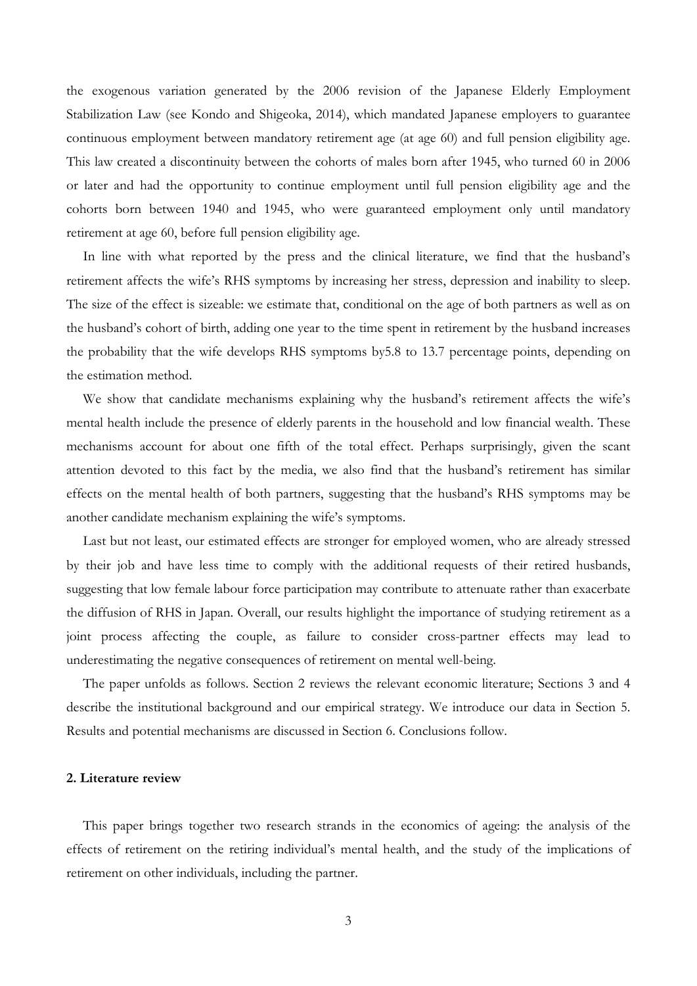the exogenous variation generated by the 2006 revision of the Japanese Elderly Employment Stabilization Law (see Kondo and Shigeoka, 2014), which mandated Japanese employers to guarantee continuous employment between mandatory retirement age (at age 60) and full pension eligibility age. This law created a discontinuity between the cohorts of males born after 1945, who turned 60 in 2006 or later and had the opportunity to continue employment until full pension eligibility age and the cohorts born between 1940 and 1945, who were guaranteed employment only until mandatory retirement at age 60, before full pension eligibility age.

In line with what reported by the press and the clinical literature, we find that the husband's retirement affects the wife's RHS symptoms by increasing her stress, depression and inability to sleep. The size of the effect is sizeable: we estimate that, conditional on the age of both partners as well as on the husband's cohort of birth, adding one year to the time spent in retirement by the husband increases the probability that the wife develops RHS symptoms by5.8 to 13.7 percentage points, depending on the estimation method.

We show that candidate mechanisms explaining why the husband's retirement affects the wife's mental health include the presence of elderly parents in the household and low financial wealth. These mechanisms account for about one fifth of the total effect. Perhaps surprisingly, given the scant attention devoted to this fact by the media, we also find that the husband's retirement has similar effects on the mental health of both partners, suggesting that the husband's RHS symptoms may be another candidate mechanism explaining the wife's symptoms.

Last but not least, our estimated effects are stronger for employed women, who are already stressed by their job and have less time to comply with the additional requests of their retired husbands, suggesting that low female labour force participation may contribute to attenuate rather than exacerbate the diffusion of RHS in Japan. Overall, our results highlight the importance of studying retirement as a joint process affecting the couple, as failure to consider cross-partner effects may lead to underestimating the negative consequences of retirement on mental well-being.

The paper unfolds as follows. Section 2 reviews the relevant economic literature; Sections 3 and 4 describe the institutional background and our empirical strategy. We introduce our data in Section 5. Results and potential mechanisms are discussed in Section 6. Conclusions follow.

#### **2. Literature review**

This paper brings together two research strands in the economics of ageing: the analysis of the effects of retirement on the retiring individual's mental health, and the study of the implications of retirement on other individuals, including the partner.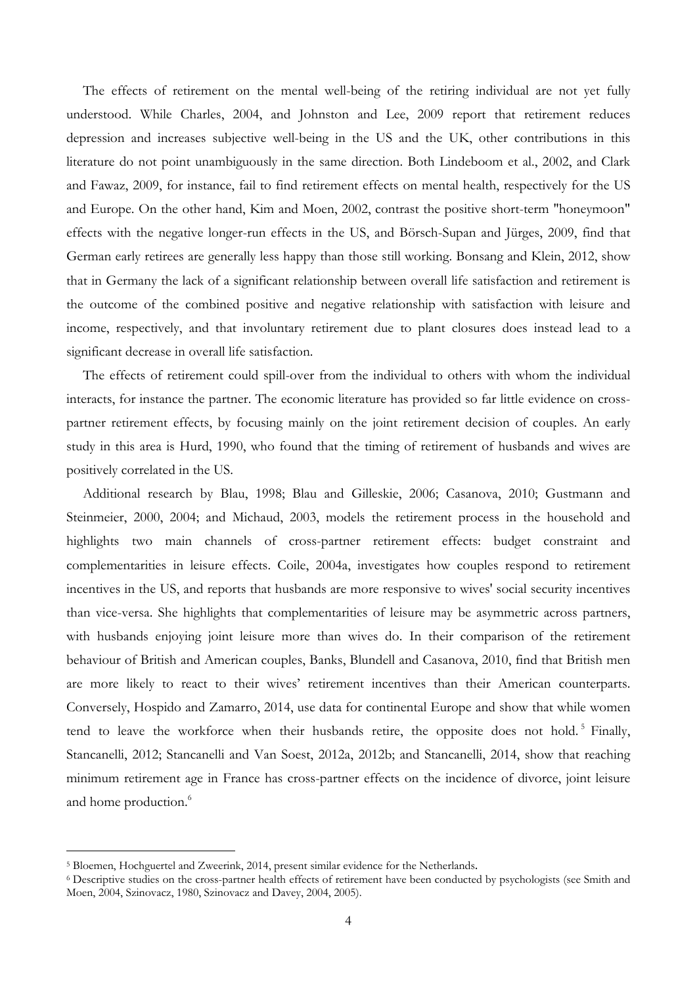The effects of retirement on the mental well-being of the retiring individual are not yet fully understood. While Charles, 2004, and Johnston and Lee, 2009 report that retirement reduces depression and increases subjective well-being in the US and the UK, other contributions in this literature do not point unambiguously in the same direction. Both Lindeboom et al., 2002, and Clark and Fawaz, 2009, for instance, fail to find retirement effects on mental health, respectively for the US and Europe. On the other hand, Kim and Moen, 2002, contrast the positive short-term "honeymoon" effects with the negative longer-run effects in the US, and Börsch-Supan and Jürges, 2009, find that German early retirees are generally less happy than those still working. Bonsang and Klein, 2012, show that in Germany the lack of a significant relationship between overall life satisfaction and retirement is the outcome of the combined positive and negative relationship with satisfaction with leisure and income, respectively, and that involuntary retirement due to plant closures does instead lead to a significant decrease in overall life satisfaction.

The effects of retirement could spill-over from the individual to others with whom the individual interacts, for instance the partner. The economic literature has provided so far little evidence on crosspartner retirement effects, by focusing mainly on the joint retirement decision of couples. An early study in this area is Hurd, 1990, who found that the timing of retirement of husbands and wives are positively correlated in the US.

Additional research by Blau, 1998; Blau and Gilleskie, 2006; Casanova, 2010; Gustmann and Steinmeier, 2000, 2004; and Michaud, 2003, models the retirement process in the household and highlights two main channels of cross-partner retirement effects: budget constraint and complementarities in leisure effects. Coile, 2004a, investigates how couples respond to retirement incentives in the US, and reports that husbands are more responsive to wives' social security incentives than vice-versa. She highlights that complementarities of leisure may be asymmetric across partners, with husbands enjoying joint leisure more than wives do. In their comparison of the retirement behaviour of British and American couples, Banks, Blundell and Casanova, 2010, find that British men are more likely to react to their wives' retirement incentives than their American counterparts. Conversely, Hospido and Zamarro, 2014, use data for continental Europe and show that while women tend to leave the workforce when their husbands retire, the opposite does not hold.<sup>5</sup> Finally, Stancanelli, 2012; Stancanelli and Van Soest, 2012a, 2012b; and Stancanelli, 2014, show that reaching minimum retirement age in France has cross-partner effects on the incidence of divorce, joint leisure and home production.<sup>6</sup>

<sup>5</sup> Bloemen, Hochguertel and Zweerink, 2014, present similar evidence for the Netherlands.

<sup>6</sup> Descriptive studies on the cross-partner health effects of retirement have been conducted by psychologists (see Smith and Moen, 2004, Szinovacz, 1980, Szinovacz and Davey, 2004, 2005).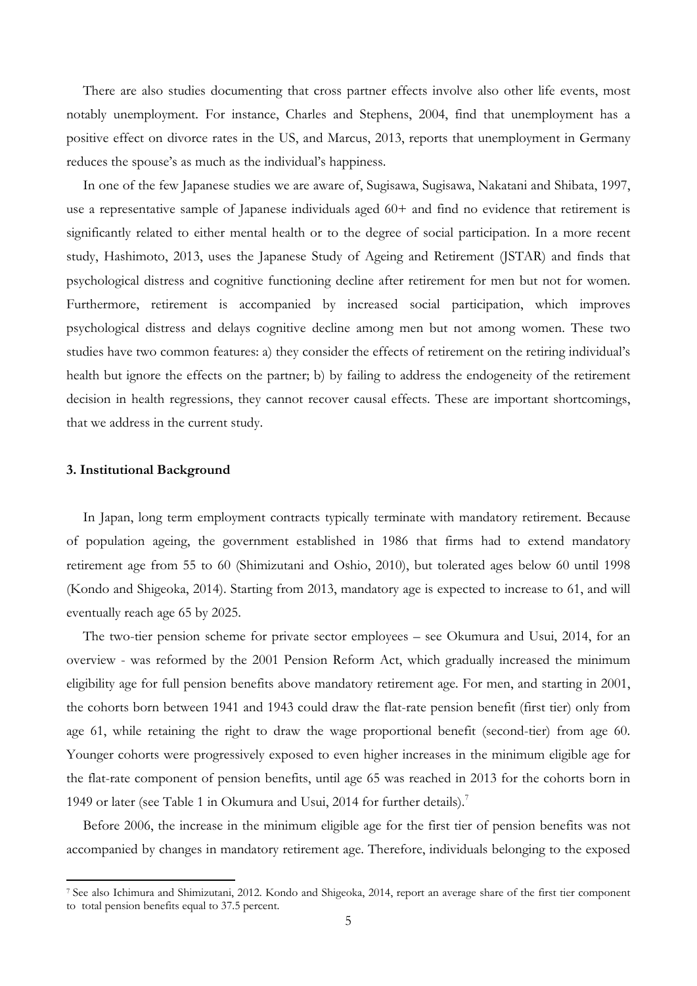There are also studies documenting that cross partner effects involve also other life events, most notably unemployment. For instance, Charles and Stephens, 2004, find that unemployment has a positive effect on divorce rates in the US, and Marcus, 2013, reports that unemployment in Germany reduces the spouse's as much as the individual's happiness.

In one of the few Japanese studies we are aware of, Sugisawa, Sugisawa, Nakatani and Shibata, 1997, use a representative sample of Japanese individuals aged 60+ and find no evidence that retirement is significantly related to either mental health or to the degree of social participation. In a more recent study, Hashimoto, 2013, uses the Japanese Study of Ageing and Retirement (JSTAR) and finds that psychological distress and cognitive functioning decline after retirement for men but not for women. Furthermore, retirement is accompanied by increased social participation, which improves psychological distress and delays cognitive decline among men but not among women. These two studies have two common features: a) they consider the effects of retirement on the retiring individual's health but ignore the effects on the partner; b) by failing to address the endogeneity of the retirement decision in health regressions, they cannot recover causal effects. These are important shortcomings, that we address in the current study.

#### **3. Institutional Background**

In Japan, long term employment contracts typically terminate with mandatory retirement. Because of population ageing, the government established in 1986 that firms had to extend mandatory retirement age from 55 to 60 (Shimizutani and Oshio, 2010), but tolerated ages below 60 until 1998 (Kondo and Shigeoka, 2014). Starting from 2013, mandatory age is expected to increase to 61, and will eventually reach age 65 by 2025.

The two-tier pension scheme for private sector employees – see Okumura and Usui, 2014, for an overview - was reformed by the 2001 Pension Reform Act, which gradually increased the minimum eligibility age for full pension benefits above mandatory retirement age. For men, and starting in 2001, the cohorts born between 1941 and 1943 could draw the flat-rate pension benefit (first tier) only from age 61, while retaining the right to draw the wage proportional benefit (second-tier) from age 60. Younger cohorts were progressively exposed to even higher increases in the minimum eligible age for the flat-rate component of pension benefits, until age 65 was reached in 2013 for the cohorts born in 1949 or later (see Table 1 in Okumura and Usui, 2014 for further details).<sup>7</sup>

Before 2006, the increase in the minimum eligible age for the first tier of pension benefits was not accompanied by changes in mandatory retirement age. Therefore, individuals belonging to the exposed

<sup>7</sup> See also Ichimura and Shimizutani, 2012. Kondo and Shigeoka, 2014, report an average share of the first tier component to total pension benefits equal to 37.5 percent.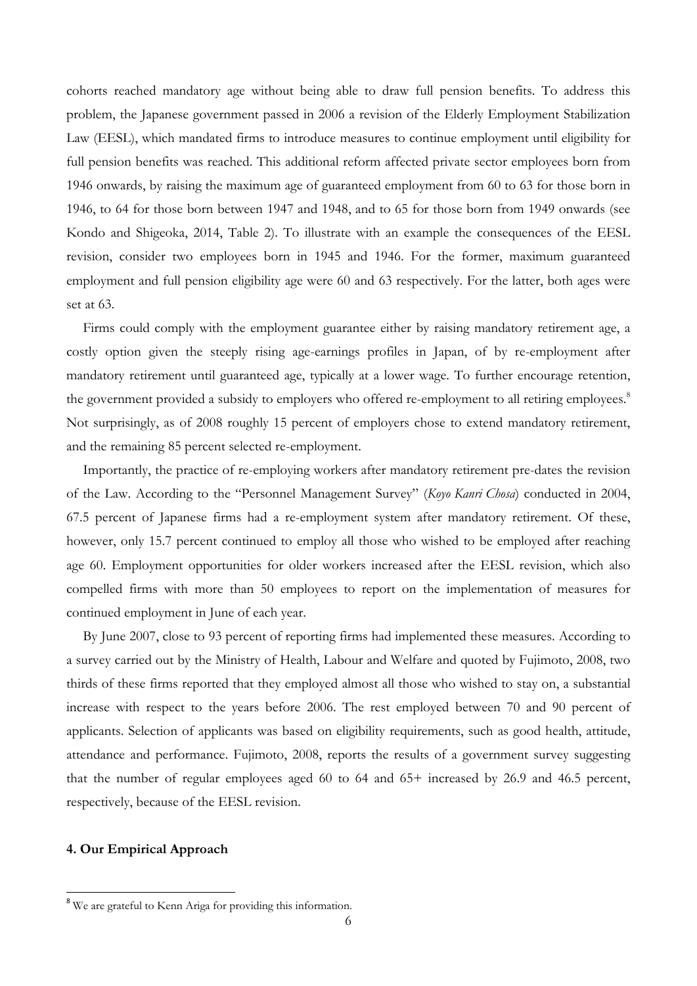cohorts reached mandatory age without being able to draw full pension benefits. To address this problem, the Japanese government passed in 2006 a revision of the Elderly Employment Stabilization Law (EESL), which mandated firms to introduce measures to continue employment until eligibility for full pension benefits was reached. This additional reform affected private sector employees born from 1946 onwards, by raising the maximum age of guaranteed employment from 60 to 63 for those born in 1946, to 64 for those born between 1947 and 1948, and to 65 for those born from 1949 onwards (see Kondo and Shigeoka, 2014, Table 2). To illustrate with an example the consequences of the EESL revision, consider two employees born in 1945 and 1946. For the former, maximum guaranteed employment and full pension eligibility age were 60 and 63 respectively. For the latter, both ages were set at 63.

Firms could comply with the employment guarantee either by raising mandatory retirement age, a costly option given the steeply rising age-earnings profiles in Japan, of by re-employment after mandatory retirement until guaranteed age, typically at a lower wage. To further encourage retention, the government provided a subsidy to employers who offered re-employment to all retiring employees.<sup>8</sup> Not surprisingly, as of 2008 roughly 15 percent of employers chose to extend mandatory retirement, and the remaining 85 percent selected re-employment.

Importantly, the practice of re-employing workers after mandatory retirement pre-dates the revision of the Law. According to the "Personnel Management Survey" (*Koyo Kanri Chosa*) conducted in 2004, 67.5 percent of Japanese firms had a re-employment system after mandatory retirement. Of these, however, only 15.7 percent continued to employ all those who wished to be employed after reaching age 60. Employment opportunities for older workers increased after the EESL revision, which also compelled firms with more than 50 employees to report on the implementation of measures for continued employment in June of each year.

By June 2007, close to 93 percent of reporting firms had implemented these measures. According to a survey carried out by the Ministry of Health, Labour and Welfare and quoted by Fujimoto, 2008, two thirds of these firms reported that they employed almost all those who wished to stay on, a substantial increase with respect to the years before 2006. The rest employed between 70 and 90 percent of applicants. Selection of applicants was based on eligibility requirements, such as good health, attitude, attendance and performance. Fujimoto, 2008, reports the results of a government survey suggesting that the number of regular employees aged 60 to 64 and 65+ increased by 26.9 and 46.5 percent, respectively, because of the EESL revision.

#### **4. Our Empirical Approach**

<sup>&</sup>lt;sup>8</sup> We are grateful to Kenn Ariga for providing this information.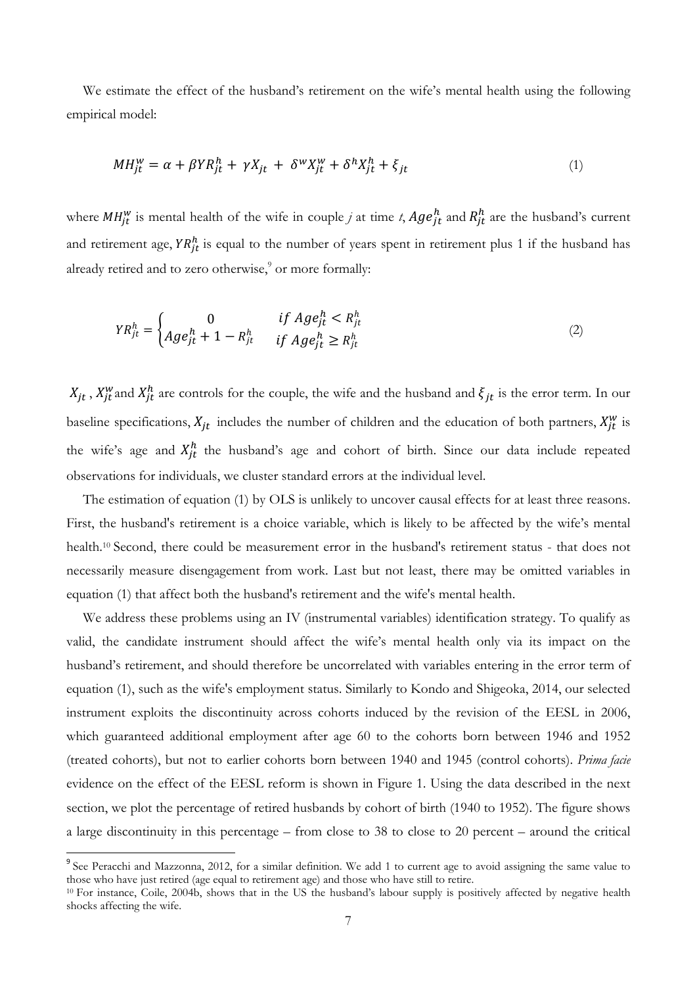We estimate the effect of the husband's retirement on the wife's mental health using the following empirical model:

$$
MH_{jt}^W = \alpha + \beta Y R_{jt}^h + \gamma X_{jt} + \delta^W X_{jt}^W + \delta^h X_{jt}^h + \xi_{jt}
$$
\n<sup>(1)</sup>

where  $MH_{jt}^w$  is mental health of the wife in couple *j* at time *t*,  $Age_{jt}^h$  and  $R_{jt}^h$  are the husband's current and retirement age,  $Y R_{jt}^h$  is equal to the number of years spent in retirement plus 1 if the husband has already retired and to zero otherwise, $\degree$  or more formally:

$$
Y R_{jt}^h = \begin{cases} 0 & \text{if } A g e_{jt}^h < R_{jt}^h\\ A g e_{jt}^h + 1 - R_{jt}^h & \text{if } A g e_{jt}^h \ge R_{jt}^h \end{cases} \tag{2}
$$

 $X_{jt}$ ,  $X_{jt}^w$  and  $X_{jt}^h$  are controls for the couple, the wife and the husband and  $\xi_{jt}$  is the error term. In our baseline specifications,  $X_{jt}$  includes the number of children and the education of both partners,  $X_{jt}^{w}$  is the wife's age and  $X_{jt}^h$  the husband's age and cohort of birth. Since our data include repeated observations for individuals, we cluster standard errors at the individual level.

The estimation of equation (1) by OLS is unlikely to uncover causal effects for at least three reasons. First, the husband's retirement is a choice variable, which is likely to be affected by the wife's mental health.10 Second, there could be measurement error in the husband's retirement status - that does not necessarily measure disengagement from work. Last but not least, there may be omitted variables in equation (1) that affect both the husband's retirement and the wife's mental health.

We address these problems using an IV (instrumental variables) identification strategy. To qualify as valid, the candidate instrument should affect the wife's mental health only via its impact on the husband's retirement, and should therefore be uncorrelated with variables entering in the error term of equation (1), such as the wife's employment status. Similarly to Kondo and Shigeoka, 2014, our selected instrument exploits the discontinuity across cohorts induced by the revision of the EESL in 2006, which guaranteed additional employment after age 60 to the cohorts born between 1946 and 1952 (treated cohorts), but not to earlier cohorts born between 1940 and 1945 (control cohorts). *Prima facie* evidence on the effect of the EESL reform is shown in Figure 1. Using the data described in the next section, we plot the percentage of retired husbands by cohort of birth (1940 to 1952). The figure shows a large discontinuity in this percentage – from close to 38 to close to 20 percent – around the critical

<sup>&</sup>lt;sup>9</sup> See Peracchi and Mazzonna, 2012, for a similar definition. We add 1 to current age to avoid assigning the same value to those who have just retired (age equal to retirement age) and those who have still to retire.

 $10$  For instance, Coile, 2004b, shows that in the US the husband's labour supply is positively affected by negative health shocks affecting the wife.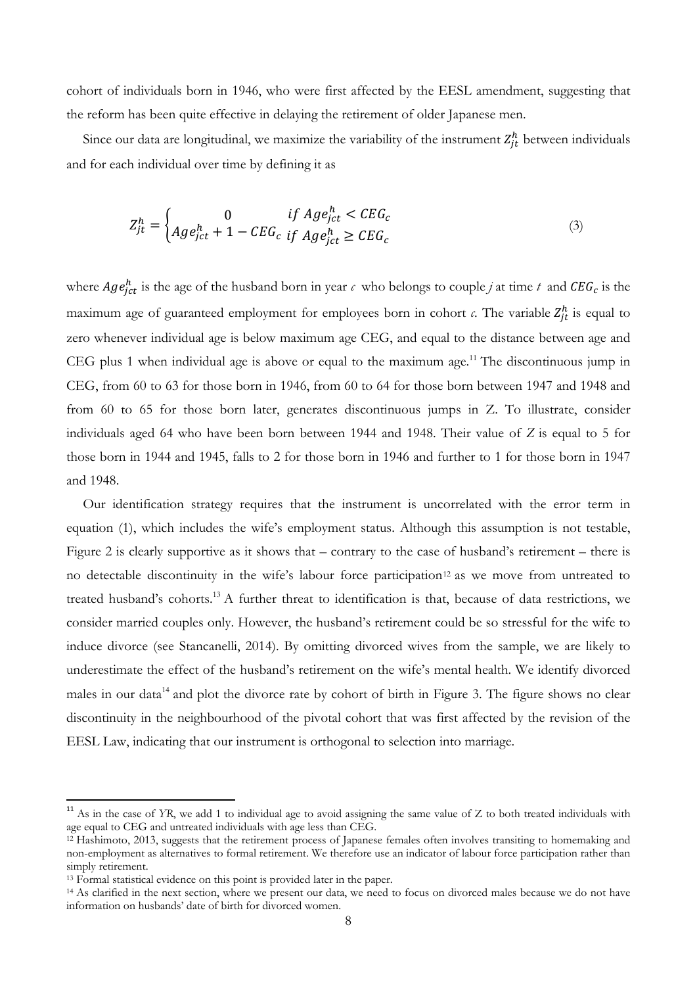cohort of individuals born in 1946, who were first affected by the EESL amendment, suggesting that the reform has been quite effective in delaying the retirement of older Japanese men.

Since our data are longitudinal, we maximize the variability of the instrument  $Z_{jt}^{h}$  between individuals and for each individual over time by defining it as

$$
Z_{jt}^{h} = \begin{cases} 0 & \text{if } Age_{ict}^{h} < CEG_c \\ Age_{ict}^{h} + 1 - CEG_c & \text{if } Age_{ict}^{h} \ge CEG_c \end{cases} \tag{3}
$$

where  $Age_{ict}^h$  is the age of the husband born in year  $c$  who belongs to couple *j* at time  $t$  and  $CEG_c$  is the maximum age of guaranteed employment for employees born in cohort  $\alpha$ . The variable  $Z_{jt}^h$  is equal to zero whenever individual age is below maximum age CEG, and equal to the distance between age and CEG plus 1 when individual age is above or equal to the maximum age.<sup>11</sup> The discontinuous jump in CEG, from 60 to 63 for those born in 1946, from 60 to 64 for those born between 1947 and 1948 and from 60 to 65 for those born later, generates discontinuous jumps in Z. To illustrate, consider individuals aged 64 who have been born between 1944 and 1948. Their value of *Z* is equal to 5 for those born in 1944 and 1945, falls to 2 for those born in 1946 and further to 1 for those born in 1947 and 1948.

Our identification strategy requires that the instrument is uncorrelated with the error term in equation (1), which includes the wife's employment status. Although this assumption is not testable, Figure 2 is clearly supportive as it shows that – contrary to the case of husband's retirement – there is no detectable discontinuity in the wife's labour force participation<sup>12</sup> as we move from untreated to treated husband's cohorts.<sup>13</sup> A further threat to identification is that, because of data restrictions, we consider married couples only. However, the husband's retirement could be so stressful for the wife to induce divorce (see Stancanelli, 2014). By omitting divorced wives from the sample, we are likely to underestimate the effect of the husband's retirement on the wife's mental health. We identify divorced males in our data<sup>14</sup> and plot the divorce rate by cohort of birth in Figure 3. The figure shows no clear discontinuity in the neighbourhood of the pivotal cohort that was first affected by the revision of the EESL Law, indicating that our instrument is orthogonal to selection into marriage.

<sup>&</sup>lt;sup>11</sup> As in the case of *YR*, we add 1 to individual age to avoid assigning the same value of Z to both treated individuals with age equal to CEG and untreated individuals with age less than CEG.

 $12$  Hashimoto, 2013, suggests that the retirement process of Japanese females often involves transiting to homemaking and non-employment as alternatives to formal retirement. We therefore use an indicator of labour force participation rather than simply retirement.

<sup>&</sup>lt;sup>13</sup> Formal statistical evidence on this point is provided later in the paper.<br><sup>14</sup> As clarified in the next section, where we present our data, we need to focus on divorced males because we do not have information on husbands' date of birth for divorced women.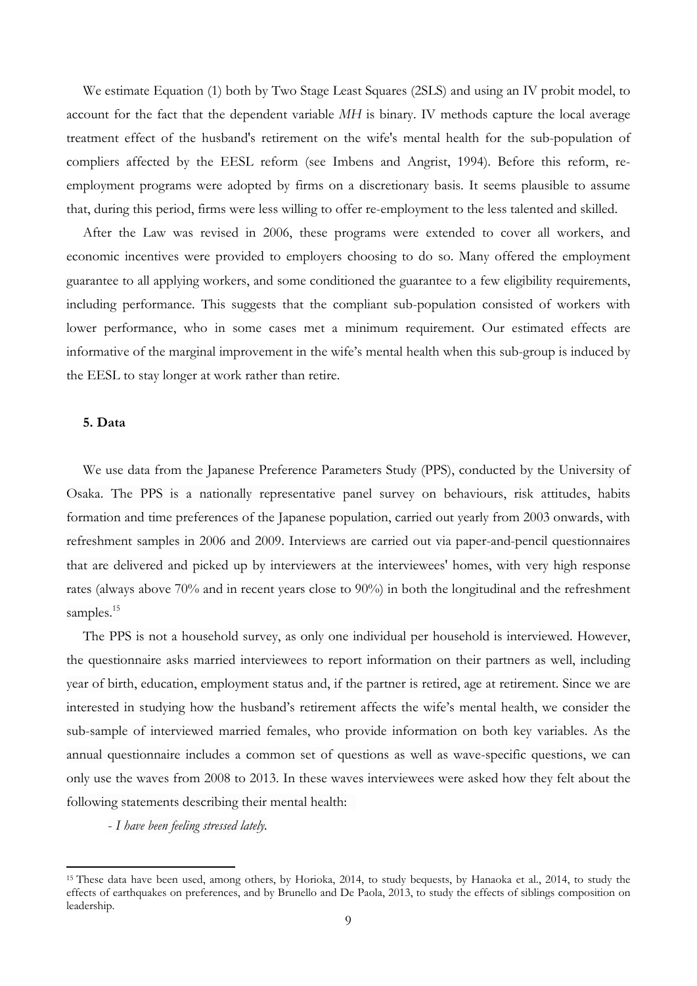We estimate Equation (1) both by Two Stage Least Squares (2SLS) and using an IV probit model, to account for the fact that the dependent variable *MH* is binary. IV methods capture the local average treatment effect of the husband's retirement on the wife's mental health for the sub-population of compliers affected by the EESL reform (see Imbens and Angrist, 1994). Before this reform, reemployment programs were adopted by firms on a discretionary basis. It seems plausible to assume that, during this period, firms were less willing to offer re-employment to the less talented and skilled.

After the Law was revised in 2006, these programs were extended to cover all workers, and economic incentives were provided to employers choosing to do so. Many offered the employment guarantee to all applying workers, and some conditioned the guarantee to a few eligibility requirements, including performance. This suggests that the compliant sub-population consisted of workers with lower performance, who in some cases met a minimum requirement. Our estimated effects are informative of the marginal improvement in the wife's mental health when this sub-group is induced by the EESL to stay longer at work rather than retire.

#### **5. Data**

We use data from the Japanese Preference Parameters Study (PPS), conducted by the University of Osaka. The PPS is a nationally representative panel survey on behaviours, risk attitudes, habits formation and time preferences of the Japanese population, carried out yearly from 2003 onwards, with refreshment samples in 2006 and 2009. Interviews are carried out via paper-and-pencil questionnaires that are delivered and picked up by interviewers at the interviewees' homes, with very high response rates (always above 70% and in recent years close to 90%) in both the longitudinal and the refreshment samples.<sup>15</sup>

The PPS is not a household survey, as only one individual per household is interviewed. However, the questionnaire asks married interviewees to report information on their partners as well, including year of birth, education, employment status and, if the partner is retired, age at retirement. Since we are interested in studying how the husband's retirement affects the wife's mental health, we consider the sub-sample of interviewed married females, who provide information on both key variables. As the annual questionnaire includes a common set of questions as well as wave-specific questions, we can only use the waves from 2008 to 2013. In these waves interviewees were asked how they felt about the following statements describing their mental health:

- *I have been feeling stressed lately.* 

<sup>15</sup> These data have been used, among others, by Horioka, 2014, to study bequests, by Hanaoka et al., 2014, to study the effects of earthquakes on preferences, and by Brunello and De Paola, 2013, to study the effects of siblings composition on leadership.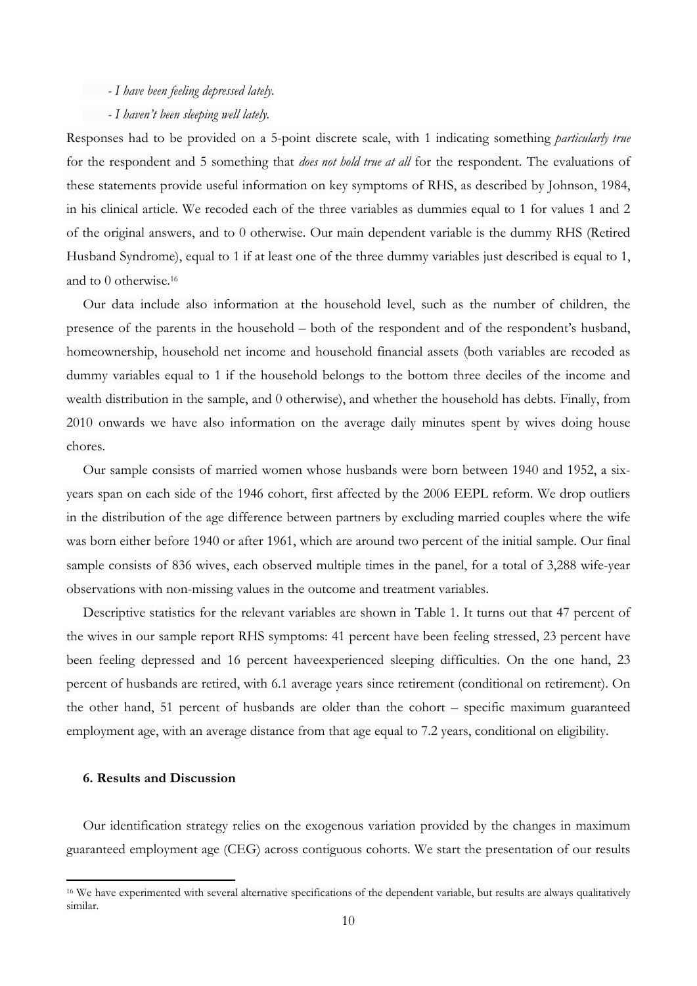#### *- I have been feeling depressed lately.*

#### *- I haven't been sleeping well lately.*

Responses had to be provided on a 5-point discrete scale, with 1 indicating something *particularly true* for the respondent and 5 something that *does not hold true at all* for the respondent. The evaluations of these statements provide useful information on key symptoms of RHS, as described by Johnson, 1984, in his clinical article. We recoded each of the three variables as dummies equal to 1 for values 1 and 2 of the original answers, and to 0 otherwise. Our main dependent variable is the dummy RHS (Retired Husband Syndrome), equal to 1 if at least one of the three dummy variables just described is equal to 1, and to 0 otherwise.16

Our data include also information at the household level, such as the number of children, the presence of the parents in the household – both of the respondent and of the respondent's husband, homeownership, household net income and household financial assets (both variables are recoded as dummy variables equal to 1 if the household belongs to the bottom three deciles of the income and wealth distribution in the sample, and 0 otherwise), and whether the household has debts. Finally, from 2010 onwards we have also information on the average daily minutes spent by wives doing house chores.

Our sample consists of married women whose husbands were born between 1940 and 1952, a sixyears span on each side of the 1946 cohort, first affected by the 2006 EEPL reform. We drop outliers in the distribution of the age difference between partners by excluding married couples where the wife was born either before 1940 or after 1961, which are around two percent of the initial sample. Our final sample consists of 836 wives, each observed multiple times in the panel, for a total of 3,288 wife-year observations with non-missing values in the outcome and treatment variables.

Descriptive statistics for the relevant variables are shown in Table 1. It turns out that 47 percent of the wives in our sample report RHS symptoms: 41 percent have been feeling stressed, 23 percent have been feeling depressed and 16 percent haveexperienced sleeping difficulties. On the one hand, 23 percent of husbands are retired, with 6.1 average years since retirement (conditional on retirement). On the other hand, 51 percent of husbands are older than the cohort – specific maximum guaranteed employment age, with an average distance from that age equal to 7.2 years, conditional on eligibility.

#### **6. Results and Discussion**

Our identification strategy relies on the exogenous variation provided by the changes in maximum guaranteed employment age (CEG) across contiguous cohorts. We start the presentation of our results

<sup>&</sup>lt;sup>16</sup> We have experimented with several alternative specifications of the dependent variable, but results are always qualitatively similar.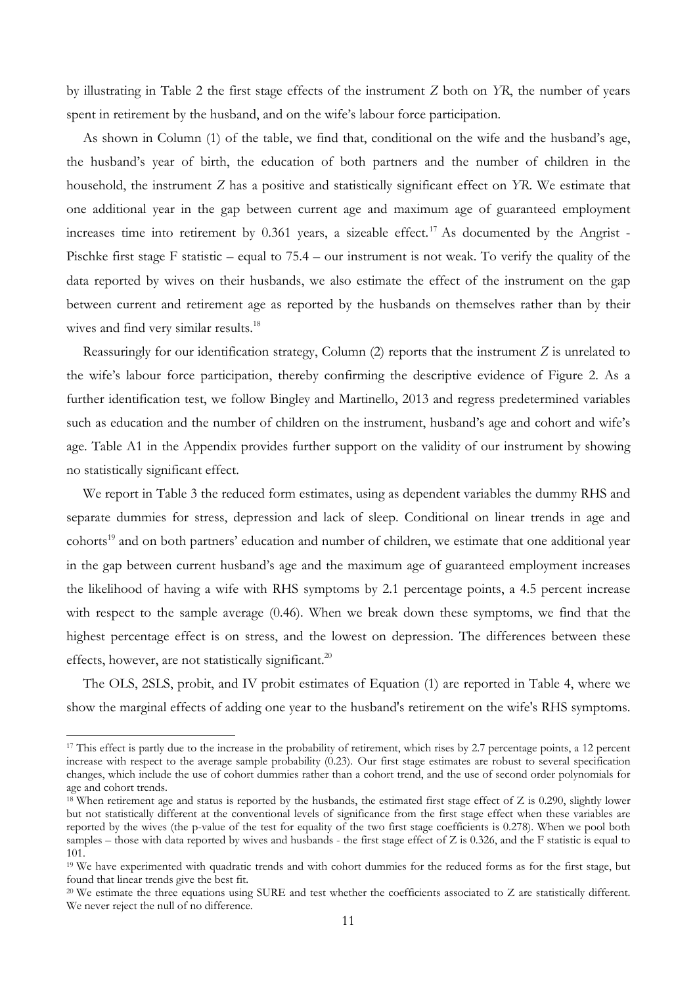by illustrating in Table 2 the first stage effects of the instrument *Z* both on *YR*, the number of years spent in retirement by the husband, and on the wife's labour force participation.

As shown in Column (1) of the table, we find that, conditional on the wife and the husband's age, the husband's year of birth, the education of both partners and the number of children in the household, the instrument *Z* has a positive and statistically significant effect on *YR*. We estimate that one additional year in the gap between current age and maximum age of guaranteed employment increases time into retirement by  $0.361$  years, a sizeable effect.<sup>17</sup> As documented by the Angrist -Pischke first stage F statistic – equal to 75.4 – our instrument is not weak. To verify the quality of the data reported by wives on their husbands, we also estimate the effect of the instrument on the gap between current and retirement age as reported by the husbands on themselves rather than by their wives and find very similar results.<sup>18</sup>

Reassuringly for our identification strategy, Column (2) reports that the instrument *Z* is unrelated to the wife's labour force participation, thereby confirming the descriptive evidence of Figure 2. As a further identification test, we follow Bingley and Martinello, 2013 and regress predetermined variables such as education and the number of children on the instrument, husband's age and cohort and wife's age. Table A1 in the Appendix provides further support on the validity of our instrument by showing no statistically significant effect.

We report in Table 3 the reduced form estimates, using as dependent variables the dummy RHS and separate dummies for stress, depression and lack of sleep. Conditional on linear trends in age and cohorts<sup>19</sup> and on both partners' education and number of children, we estimate that one additional year in the gap between current husband's age and the maximum age of guaranteed employment increases the likelihood of having a wife with RHS symptoms by 2.1 percentage points, a 4.5 percent increase with respect to the sample average  $(0.46)$ . When we break down these symptoms, we find that the highest percentage effect is on stress, and the lowest on depression. The differences between these effects, however, are not statistically significant.<sup>20</sup>

The OLS, 2SLS, probit, and IV probit estimates of Equation (1) are reported in Table 4, where we show the marginal effects of adding one year to the husband's retirement on the wife's RHS symptoms.

<sup>&</sup>lt;sup>17</sup> This effect is partly due to the increase in the probability of retirement, which rises by 2.7 percentage points, a 12 percent increase with respect to the average sample probability (0.23). Our first stage estimates are robust to several specification changes, which include the use of cohort dummies rather than a cohort trend, and the use of second order polynomials for age and cohort trends.

 $18$  When retirement age and status is reported by the husbands, the estimated first stage effect of Z is 0.290, slightly lower but not statistically different at the conventional levels of significance from the first stage effect when these variables are reported by the wives (the p-value of the test for equality of the two first stage coefficients is 0.278). When we pool both samples – those with data reported by wives and husbands - the first stage effect of Z is 0.326, and the F statistic is equal to 101.

<sup>&</sup>lt;sup>19</sup> We have experimented with quadratic trends and with cohort dummies for the reduced forms as for the first stage, but found that linear trends give the best fit.

<sup>&</sup>lt;sup>20</sup> We estimate the three equations using SURE and test whether the coefficients associated to Z are statistically different. We never reject the null of no difference.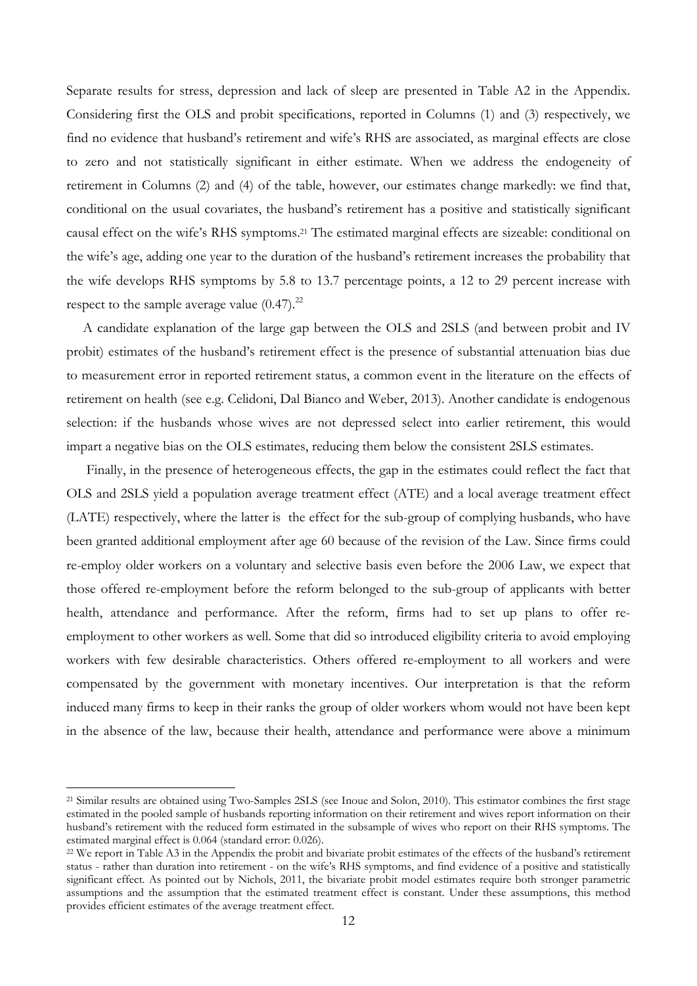Separate results for stress, depression and lack of sleep are presented in Table A2 in the Appendix. Considering first the OLS and probit specifications, reported in Columns (1) and (3) respectively, we find no evidence that husband's retirement and wife's RHS are associated, as marginal effects are close to zero and not statistically significant in either estimate. When we address the endogeneity of retirement in Columns (2) and (4) of the table, however, our estimates change markedly: we find that, conditional on the usual covariates, the husband's retirement has a positive and statistically significant causal effect on the wife's RHS symptoms.21 The estimated marginal effects are sizeable: conditional on the wife's age, adding one year to the duration of the husband's retirement increases the probability that the wife develops RHS symptoms by 5.8 to 13.7 percentage points, a 12 to 29 percent increase with respect to the sample average value  $(0.47)$ .<sup>22</sup>

A candidate explanation of the large gap between the OLS and 2SLS (and between probit and IV probit) estimates of the husband's retirement effect is the presence of substantial attenuation bias due to measurement error in reported retirement status, a common event in the literature on the effects of retirement on health (see e.g. Celidoni, Dal Bianco and Weber, 2013). Another candidate is endogenous selection: if the husbands whose wives are not depressed select into earlier retirement, this would impart a negative bias on the OLS estimates, reducing them below the consistent 2SLS estimates.

 Finally, in the presence of heterogeneous effects, the gap in the estimates could reflect the fact that OLS and 2SLS yield a population average treatment effect (ATE) and a local average treatment effect (LATE) respectively, where the latter is the effect for the sub-group of complying husbands, who have been granted additional employment after age 60 because of the revision of the Law. Since firms could re-employ older workers on a voluntary and selective basis even before the 2006 Law, we expect that those offered re-employment before the reform belonged to the sub-group of applicants with better health, attendance and performance. After the reform, firms had to set up plans to offer reemployment to other workers as well. Some that did so introduced eligibility criteria to avoid employing workers with few desirable characteristics. Others offered re-employment to all workers and were compensated by the government with monetary incentives. Our interpretation is that the reform induced many firms to keep in their ranks the group of older workers whom would not have been kept in the absence of the law, because their health, attendance and performance were above a minimum

<sup>&</sup>lt;sup>21</sup> Similar results are obtained using Two-Samples 2SLS (see Inoue and Solon, 2010). This estimator combines the first stage estimated in the pooled sample of husbands reporting information on their retirement and wives report information on their husband's retirement with the reduced form estimated in the subsample of wives who report on their RHS symptoms. The estimated marginal effect is 0.064 (standard error: 0.026).<br><sup>22</sup> We report in Table A3 in the Appendix the probit and bivariate probit estimates of the effects of the husband's retirement

status - rather than duration into retirement - on the wife's RHS symptoms, and find evidence of a positive and statistically significant effect. As pointed out by Nichols, 2011, the bivariate probit model estimates require both stronger parametric assumptions and the assumption that the estimated treatment effect is constant. Under these assumptions, this method provides efficient estimates of the average treatment effect.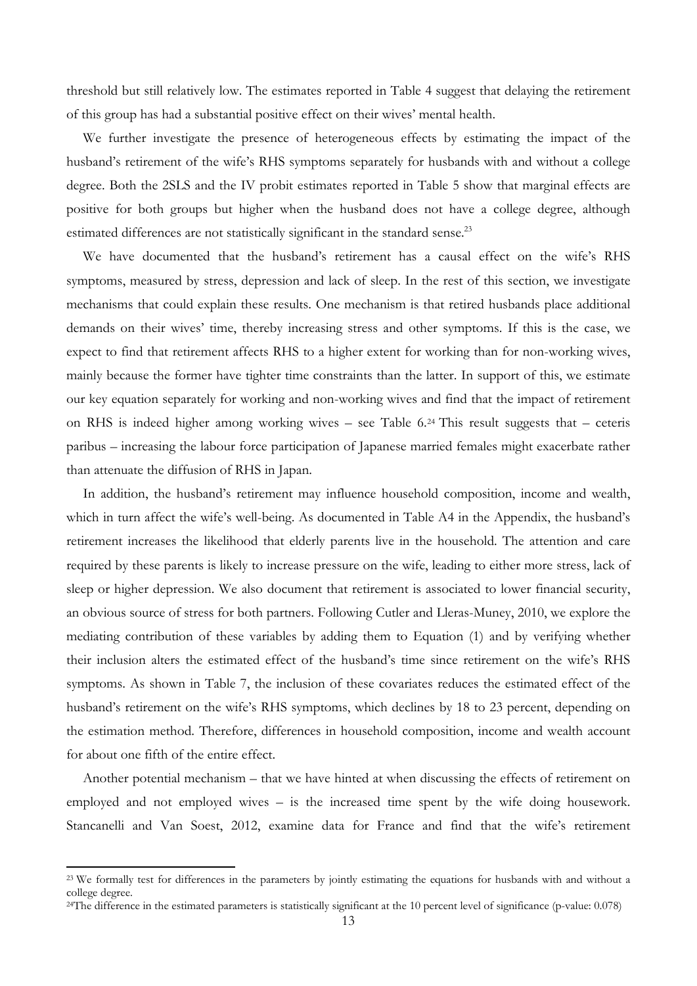threshold but still relatively low. The estimates reported in Table 4 suggest that delaying the retirement of this group has had a substantial positive effect on their wives' mental health.

We further investigate the presence of heterogeneous effects by estimating the impact of the husband's retirement of the wife's RHS symptoms separately for husbands with and without a college degree. Both the 2SLS and the IV probit estimates reported in Table 5 show that marginal effects are positive for both groups but higher when the husband does not have a college degree, although estimated differences are not statistically significant in the standard sense.<sup>23</sup>

We have documented that the husband's retirement has a causal effect on the wife's RHS symptoms, measured by stress, depression and lack of sleep. In the rest of this section, we investigate mechanisms that could explain these results. One mechanism is that retired husbands place additional demands on their wives' time, thereby increasing stress and other symptoms. If this is the case, we expect to find that retirement affects RHS to a higher extent for working than for non-working wives, mainly because the former have tighter time constraints than the latter. In support of this, we estimate our key equation separately for working and non-working wives and find that the impact of retirement on RHS is indeed higher among working wives – see Table 6.24 This result suggests that – ceteris paribus – increasing the labour force participation of Japanese married females might exacerbate rather than attenuate the diffusion of RHS in Japan.

In addition, the husband's retirement may influence household composition, income and wealth, which in turn affect the wife's well-being. As documented in Table A4 in the Appendix, the husband's retirement increases the likelihood that elderly parents live in the household. The attention and care required by these parents is likely to increase pressure on the wife, leading to either more stress, lack of sleep or higher depression. We also document that retirement is associated to lower financial security, an obvious source of stress for both partners. Following Cutler and Lleras-Muney, 2010, we explore the mediating contribution of these variables by adding them to Equation (1) and by verifying whether their inclusion alters the estimated effect of the husband's time since retirement on the wife's RHS symptoms. As shown in Table 7, the inclusion of these covariates reduces the estimated effect of the husband's retirement on the wife's RHS symptoms, which declines by 18 to 23 percent, depending on the estimation method. Therefore, differences in household composition, income and wealth account for about one fifth of the entire effect.

Another potential mechanism – that we have hinted at when discussing the effects of retirement on employed and not employed wives – is the increased time spent by the wife doing housework. Stancanelli and Van Soest, 2012, examine data for France and find that the wife's retirement

<sup>&</sup>lt;sup>23</sup> We formally test for differences in the parameters by jointly estimating the equations for husbands with and without a college degree.

 $24$ The difference in the estimated parameters is statistically significant at the 10 percent level of significance (p-value:  $0.078$ )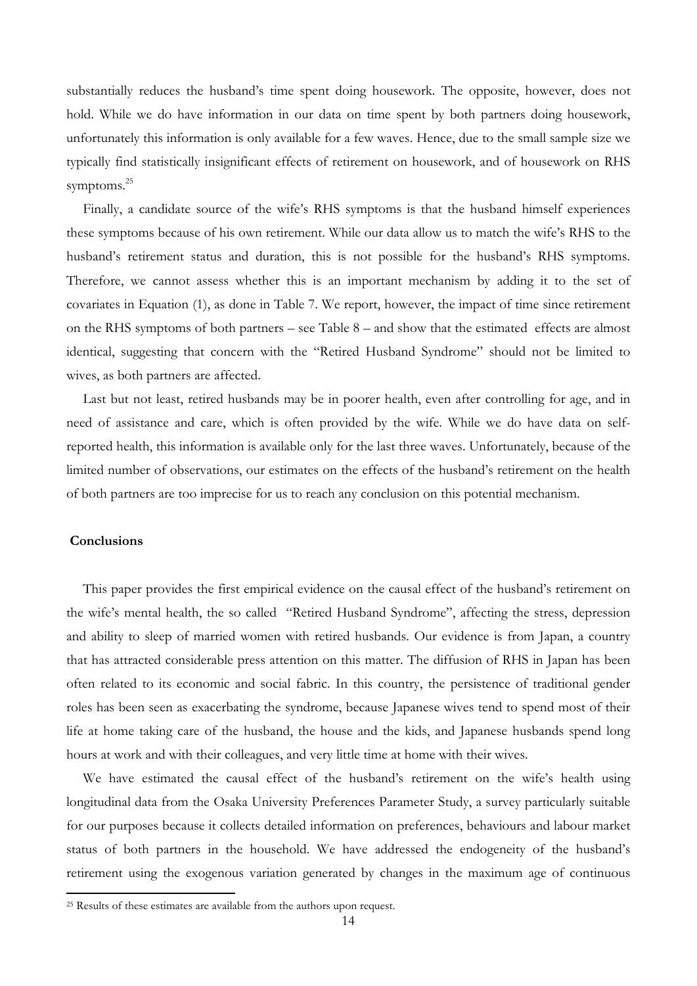substantially reduces the husband's time spent doing housework. The opposite, however, does not hold. While we do have information in our data on time spent by both partners doing housework, unfortunately this information is only available for a few waves. Hence, due to the small sample size we typically find statistically insignificant effects of retirement on housework, and of housework on RHS symptoms.<sup>25</sup>

Finally, a candidate source of the wife's RHS symptoms is that the husband himself experiences these symptoms because of his own retirement. While our data allow us to match the wife's RHS to the husband's retirement status and duration, this is not possible for the husband's RHS symptoms. Therefore, we cannot assess whether this is an important mechanism by adding it to the set of covariates in Equation (1), as done in Table 7. We report, however, the impact of time since retirement on the RHS symptoms of both partners – see Table 8 – and show that the estimated effects are almost identical, suggesting that concern with the "Retired Husband Syndrome" should not be limited to wives, as both partners are affected.

Last but not least, retired husbands may be in poorer health, even after controlling for age, and in need of assistance and care, which is often provided by the wife. While we do have data on selfreported health, this information is available only for the last three waves. Unfortunately, because of the limited number of observations, our estimates on the effects of the husband's retirement on the health of both partners are too imprecise for us to reach any conclusion on this potential mechanism.

#### **Conclusions**

This paper provides the first empirical evidence on the causal effect of the husband's retirement on the wife's mental health, the so called "Retired Husband Syndrome", affecting the stress, depression and ability to sleep of married women with retired husbands. Our evidence is from Japan, a country that has attracted considerable press attention on this matter. The diffusion of RHS in Japan has been often related to its economic and social fabric. In this country, the persistence of traditional gender roles has been seen as exacerbating the syndrome, because Japanese wives tend to spend most of their life at home taking care of the husband, the house and the kids, and Japanese husbands spend long hours at work and with their colleagues, and very little time at home with their wives.

We have estimated the causal effect of the husband's retirement on the wife's health using longitudinal data from the Osaka University Preferences Parameter Study, a survey particularly suitable for our purposes because it collects detailed information on preferences, behaviours and labour market status of both partners in the household. We have addressed the endogeneity of the husband's retirement using the exogenous variation generated by changes in the maximum age of continuous

<sup>25</sup> Results of these estimates are available from the authors upon request.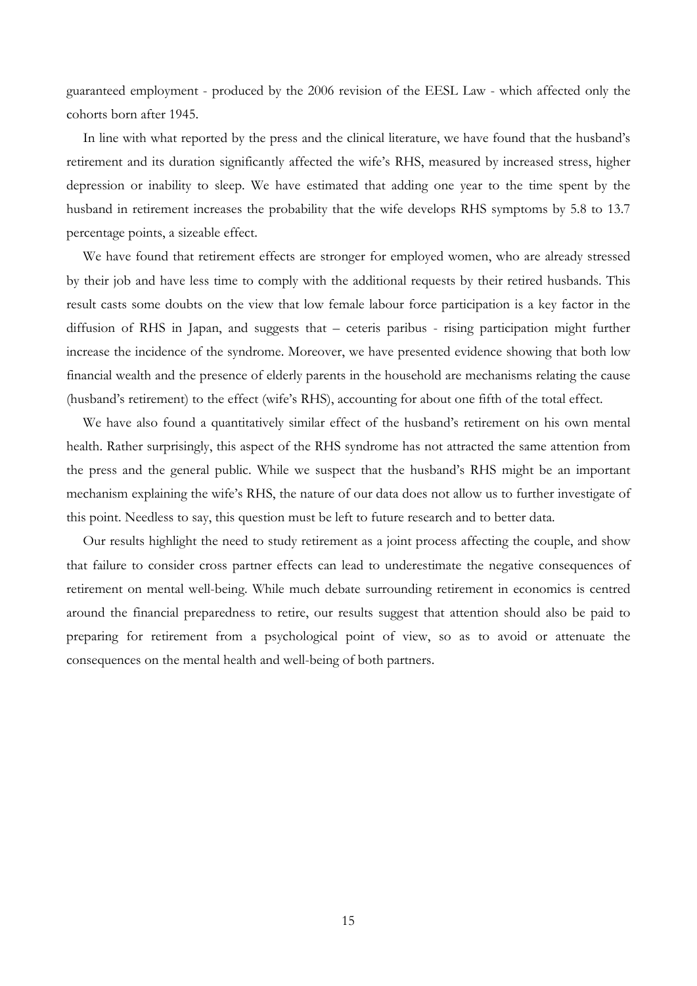guaranteed employment - produced by the 2006 revision of the EESL Law - which affected only the cohorts born after 1945.

In line with what reported by the press and the clinical literature, we have found that the husband's retirement and its duration significantly affected the wife's RHS, measured by increased stress, higher depression or inability to sleep. We have estimated that adding one year to the time spent by the husband in retirement increases the probability that the wife develops RHS symptoms by 5.8 to 13.7 percentage points, a sizeable effect.

We have found that retirement effects are stronger for employed women, who are already stressed by their job and have less time to comply with the additional requests by their retired husbands. This result casts some doubts on the view that low female labour force participation is a key factor in the diffusion of RHS in Japan, and suggests that – ceteris paribus - rising participation might further increase the incidence of the syndrome. Moreover, we have presented evidence showing that both low financial wealth and the presence of elderly parents in the household are mechanisms relating the cause (husband's retirement) to the effect (wife's RHS), accounting for about one fifth of the total effect.

We have also found a quantitatively similar effect of the husband's retirement on his own mental health. Rather surprisingly, this aspect of the RHS syndrome has not attracted the same attention from the press and the general public. While we suspect that the husband's RHS might be an important mechanism explaining the wife's RHS, the nature of our data does not allow us to further investigate of this point. Needless to say, this question must be left to future research and to better data.

Our results highlight the need to study retirement as a joint process affecting the couple, and show that failure to consider cross partner effects can lead to underestimate the negative consequences of retirement on mental well-being. While much debate surrounding retirement in economics is centred around the financial preparedness to retire, our results suggest that attention should also be paid to preparing for retirement from a psychological point of view, so as to avoid or attenuate the consequences on the mental health and well-being of both partners.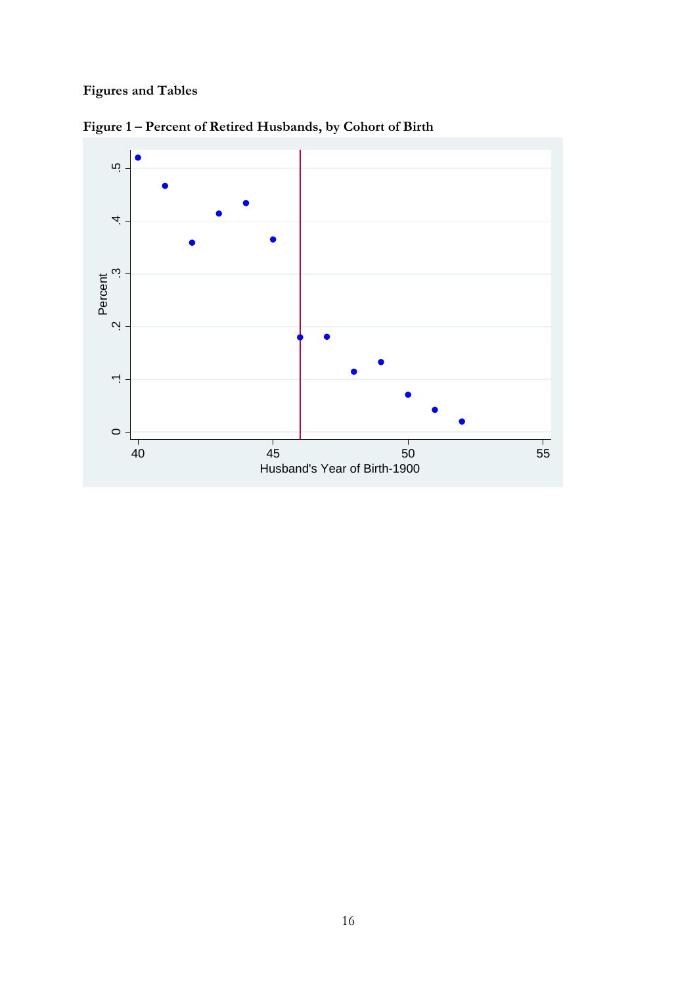# **Figures and Tables**



**Figure 1 – Percent of Retired Husbands, by Cohort of Birth**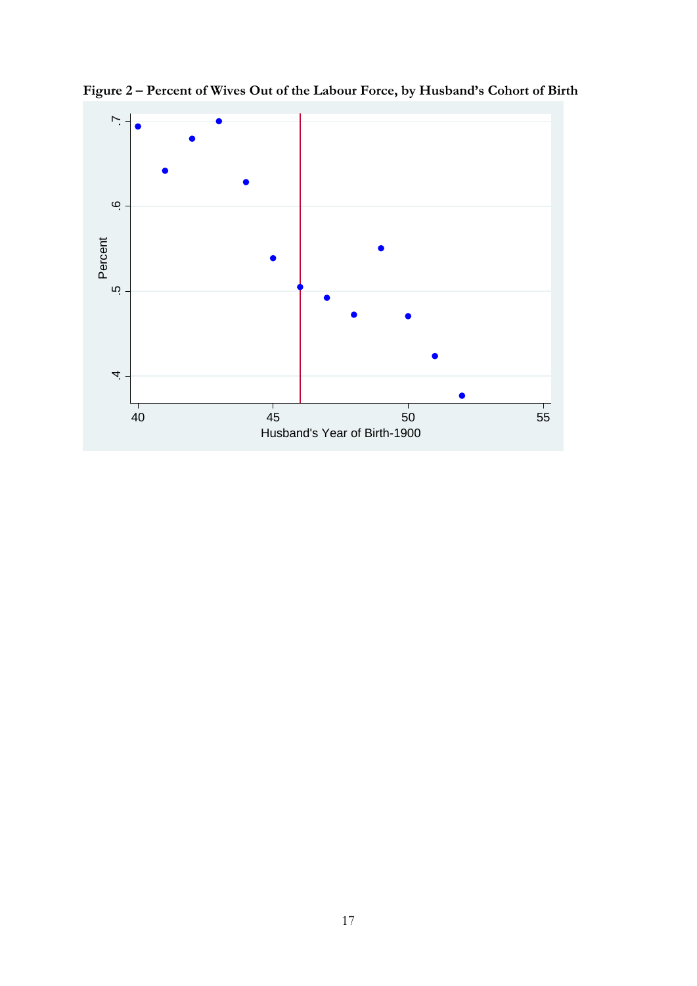

**Figure 2 – Percent of Wives Out of the Labour Force, by Husband's Cohort of Birth**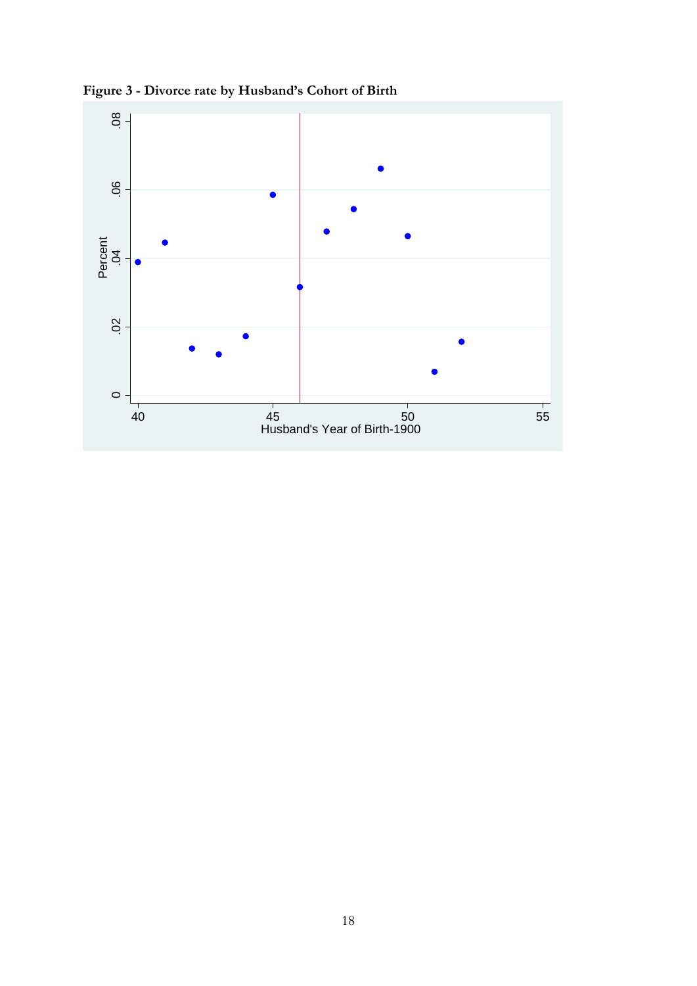

**Figure 3 - Divorce rate by Husband's Cohort of Birth**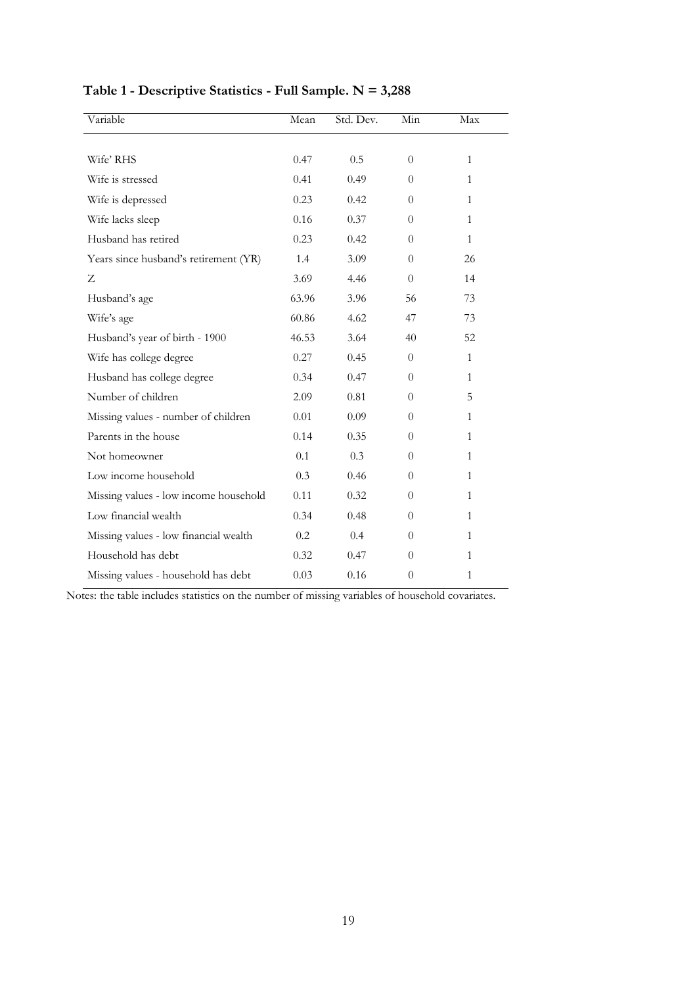| Variable                              | Mean  | Std. Dev. | Min      | Max          |
|---------------------------------------|-------|-----------|----------|--------------|
|                                       |       |           |          |              |
| Wife' RHS                             | 0.47  | 0.5       | $\theta$ | $\mathbf{1}$ |
| Wife is stressed                      | 0.41  | 0.49      | $\Omega$ | 1            |
| Wife is depressed                     | 0.23  | 0.42      | $\Omega$ | 1            |
| Wife lacks sleep                      | 0.16  | 0.37      | $\Omega$ | 1            |
| Husband has retired                   | 0.23  | 0.42      | $\Omega$ | $\mathbf{1}$ |
| Years since husband's retirement (YR) | 1.4   | 3.09      | $\Omega$ | 26           |
| Z                                     | 3.69  | 4.46      | $\Omega$ | 14           |
| Husband's age                         | 63.96 | 3.96      | 56       | 73           |
| Wife's age                            | 60.86 | 4.62      | 47       | 73           |
| Husband's year of birth - 1900        | 46.53 | 3.64      | 40       | 52           |
| Wife has college degree               | 0.27  | 0.45      | $\Omega$ | $\mathbf{1}$ |
| Husband has college degree            | 0.34  | 0.47      | $\Omega$ | $\mathbf{1}$ |
| Number of children                    | 2.09  | 0.81      | $\Omega$ | 5            |
| Missing values - number of children   | 0.01  | 0.09      | $\Omega$ | $\mathbf{1}$ |
| Parents in the house                  | 0.14  | 0.35      | $\Omega$ | 1            |
| Not homeowner                         | 0.1   | 0.3       | $\Omega$ | 1            |
| Low income household                  | 0.3   | 0.46      | 0        | 1            |
| Missing values - low income household | 0.11  | 0.32      | $\Omega$ | $\mathbf{1}$ |
| Low financial wealth                  | 0.34  | 0.48      | $\Omega$ | 1            |
| Missing values - low financial wealth | 0.2   | 0.4       | $\Omega$ | 1            |
| Household has debt                    | 0.32  | 0.47      | $\Omega$ | 1            |
| Missing values - household has debt   | 0.03  | 0.16      | $\Omega$ | $\mathbf{1}$ |

# **Table 1 - Descriptive Statistics - Full Sample. N = 3,288**

Notes: the table includes statistics on the number of missing variables of household covariates.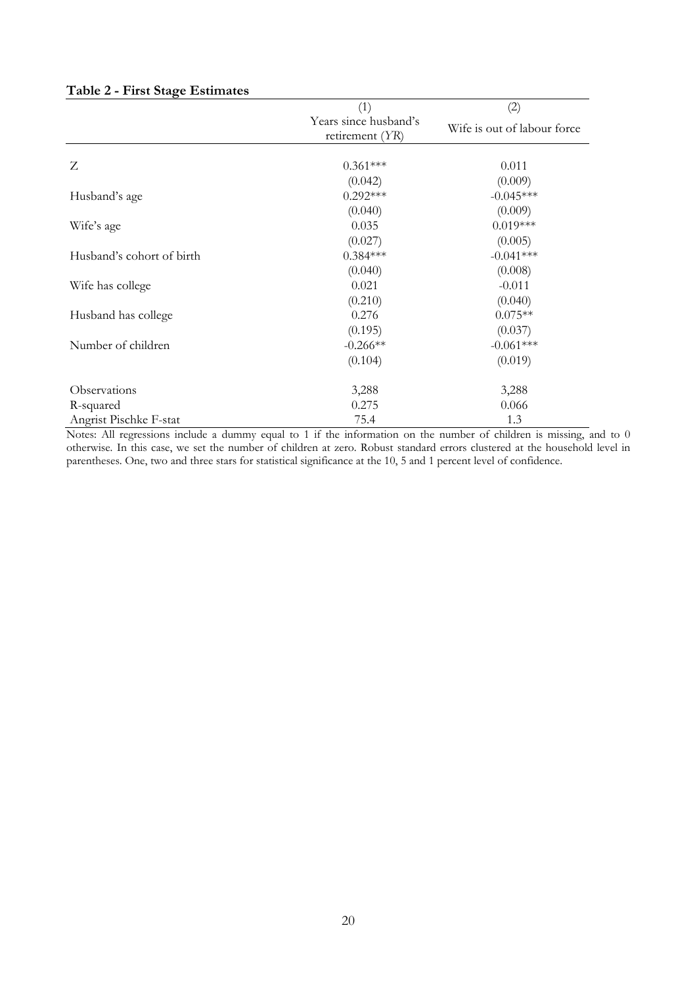|  |  |  | Table 2 - First Stage Estimates |
|--|--|--|---------------------------------|
|--|--|--|---------------------------------|

|                           | (1)                                      | (2)                         |
|---------------------------|------------------------------------------|-----------------------------|
|                           | Years since husband's<br>retirement (YR) | Wife is out of labour force |
| Z                         | $0.361***$                               | 0.011                       |
|                           | (0.042)                                  | (0.009)                     |
| Husband's age             | $0.292***$                               | $-0.045***$                 |
|                           | (0.040)                                  | (0.009)                     |
| Wife's age                | 0.035                                    | $0.019***$                  |
|                           | (0.027)                                  | (0.005)                     |
| Husband's cohort of birth | $0.384***$                               | $-0.041***$                 |
|                           | (0.040)                                  | (0.008)                     |
| Wife has college          | 0.021                                    | $-0.011$                    |
|                           | (0.210)                                  | (0.040)                     |
| Husband has college       | 0.276                                    | $0.075**$                   |
|                           | (0.195)                                  | (0.037)                     |
| Number of children        | $-0.266**$                               | $-0.061***$                 |
|                           | (0.104)                                  | (0.019)                     |
| Observations              | 3,288                                    | 3,288                       |
| R-squared                 | 0.275                                    | 0.066                       |
| Angrist Pischke F-stat    | 75.4                                     | 1.3                         |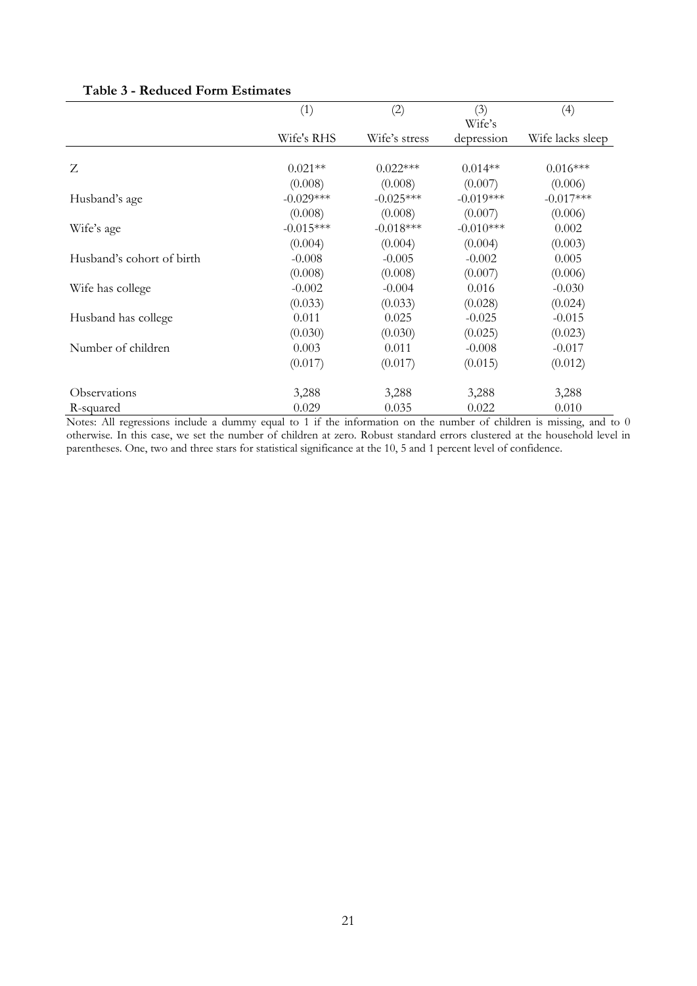|                           | (1)         | (2)           | (3)<br>Wife's | (4)              |
|---------------------------|-------------|---------------|---------------|------------------|
|                           | Wife's RHS  | Wife's stress | depression    | Wife lacks sleep |
| Z                         | $0.021**$   | $0.022***$    | $0.014**$     | $0.016***$       |
|                           | (0.008)     | (0.008)       | (0.007)       | (0.006)          |
| Husband's age             | $-0.029***$ | $-0.025***$   | $-0.019***$   | $-0.017***$      |
|                           | (0.008)     | (0.008)       | (0.007)       | (0.006)          |
| Wife's age                | $-0.015***$ | $-0.018***$   | $-0.010***$   | 0.002            |
|                           | (0.004)     | (0.004)       | (0.004)       | (0.003)          |
| Husband's cohort of birth | $-0.008$    | $-0.005$      | $-0.002$      | 0.005            |
|                           | (0.008)     | (0.008)       | (0.007)       | (0.006)          |
| Wife has college          | $-0.002$    | $-0.004$      | 0.016         | $-0.030$         |
|                           | (0.033)     | (0.033)       | (0.028)       | (0.024)          |
| Husband has college       | 0.011       | 0.025         | $-0.025$      | $-0.015$         |
|                           | (0.030)     | (0.030)       | (0.025)       | (0.023)          |
| Number of children        | 0.003       | 0.011         | $-0.008$      | $-0.017$         |
|                           | (0.017)     | (0.017)       | (0.015)       | (0.012)          |
| Observations              | 3,288       | 3,288         | 3,288         | 3,288            |
| R-squared                 | 0.029       | 0.035         | 0.022         | 0.010            |

### **Table 3 - Reduced Form Estimates**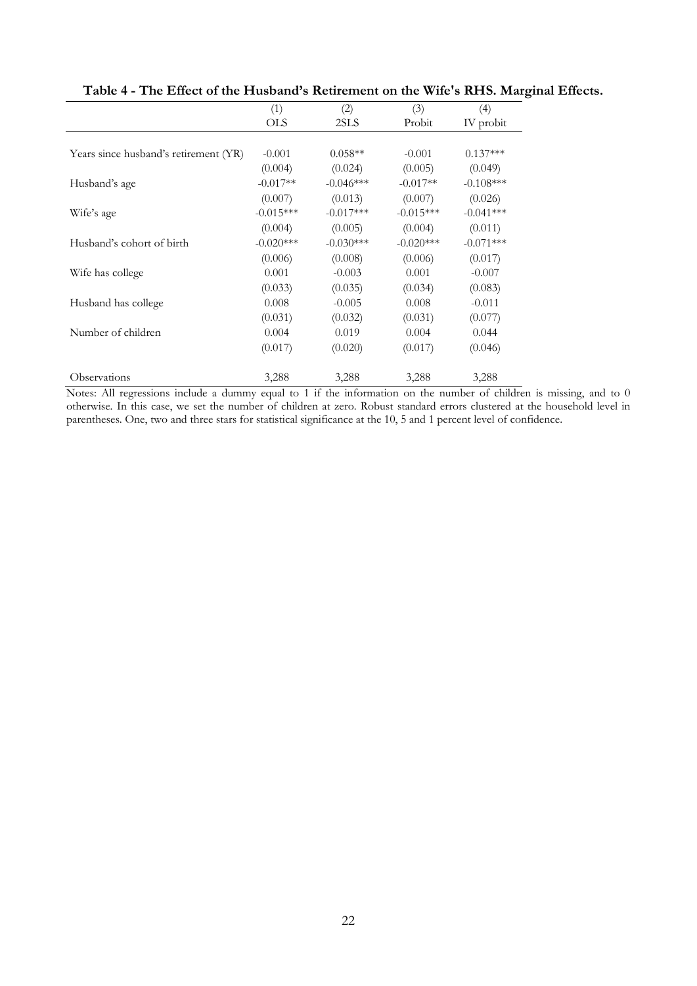|                                       | (1)         | (2)         | (3)         | (4)         |
|---------------------------------------|-------------|-------------|-------------|-------------|
|                                       | <b>OLS</b>  | 2SLS        | Probit      | IV probit   |
|                                       |             |             |             |             |
| Years since husband's retirement (YR) | $-0.001$    | $0.058**$   | $-0.001$    | $0.137***$  |
|                                       | (0.004)     | (0.024)     | (0.005)     | (0.049)     |
| Husband's age                         | $-0.017**$  | $-0.046***$ | $-0.017**$  | $-0.108***$ |
|                                       | (0.007)     | (0.013)     | (0.007)     | (0.026)     |
| Wife's age                            | $-0.015***$ | $-0.017***$ | $-0.015***$ | $-0.041***$ |
|                                       | (0.004)     | (0.005)     | (0.004)     | (0.011)     |
| Husband's cohort of birth             | $-0.020***$ | $-0.030***$ | $-0.020***$ | $-0.071***$ |
|                                       | (0.006)     | (0.008)     | (0.006)     | (0.017)     |
| Wife has college                      | 0.001       | $-0.003$    | 0.001       | $-0.007$    |
|                                       | (0.033)     | (0.035)     | (0.034)     | (0.083)     |
| Husband has college                   | 0.008       | $-0.005$    | 0.008       | $-0.011$    |
|                                       | (0.031)     | (0.032)     | (0.031)     | (0.077)     |
| Number of children                    | 0.004       | 0.019       | 0.004       | 0.044       |
|                                       | (0.017)     | (0.020)     | (0.017)     | (0.046)     |
| Observations                          | 3,288       | 3,288       | 3,288       | 3,288       |

**Table 4 - The Effect of the Husband's Retirement on the Wife's RHS. Marginal Effects.**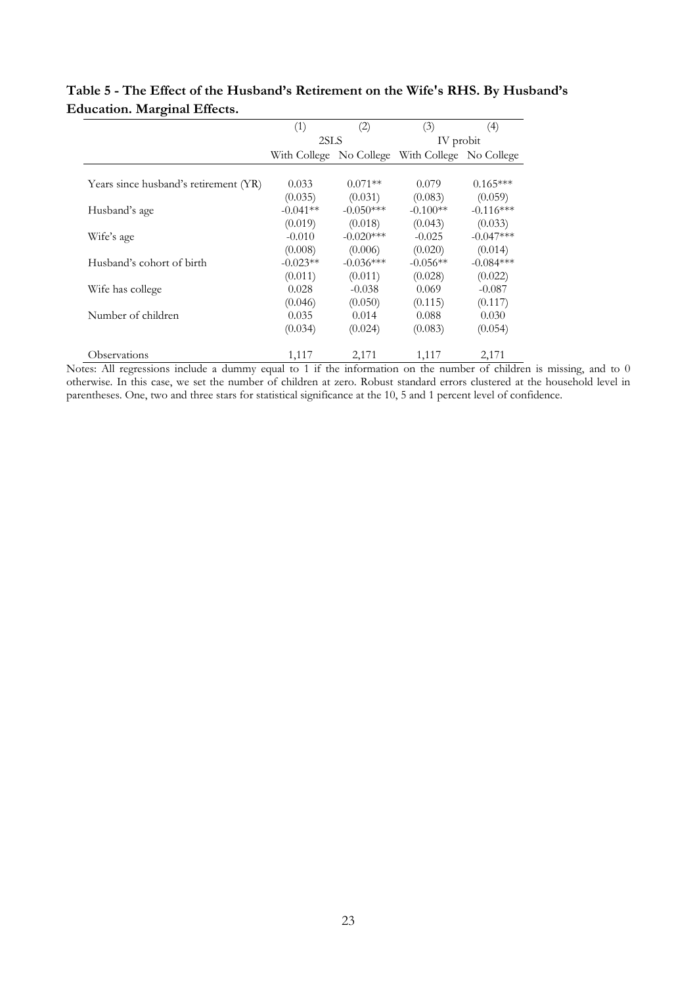|                                       | (1)        | (2)         | (3)                                             | (4)         |
|---------------------------------------|------------|-------------|-------------------------------------------------|-------------|
|                                       |            | 2SLS        |                                                 | IV probit   |
|                                       |            |             | With College No College With College No College |             |
|                                       |            |             |                                                 |             |
| Years since husband's retirement (YR) | 0.033      | $0.071**$   | 0.079                                           | $0.165***$  |
|                                       | (0.035)    | (0.031)     | (0.083)                                         | (0.059)     |
| Husband's age                         | $-0.041**$ | $-0.050***$ | $-0.100**$                                      | $-0.116***$ |
|                                       | (0.019)    | (0.018)     | (0.043)                                         | (0.033)     |
| Wife's age                            | $-0.010$   | $-0.020***$ | $-0.025$                                        | $-0.047***$ |
|                                       | (0.008)    | (0.006)     | (0.020)                                         | (0.014)     |
| Husband's cohort of birth             | $-0.023**$ | $-0.036***$ | $-0.056**$                                      | $-0.084***$ |
|                                       | (0.011)    | (0.011)     | (0.028)                                         | (0.022)     |
| Wife has college                      | 0.028      | $-0.038$    | 0.069                                           | $-0.087$    |
|                                       | (0.046)    | (0.050)     | (0.115)                                         | (0.117)     |
| Number of children                    | 0.035      | 0.014       | 0.088                                           | 0.030       |
|                                       | (0.034)    | (0.024)     | (0.083)                                         | (0.054)     |
| Observations                          | 1,117      | 2,171       | 1,117                                           | 2,171       |

### **Table 5 - The Effect of the Husband's Retirement on the Wife's RHS. By Husband's Education. Marginal Effects.**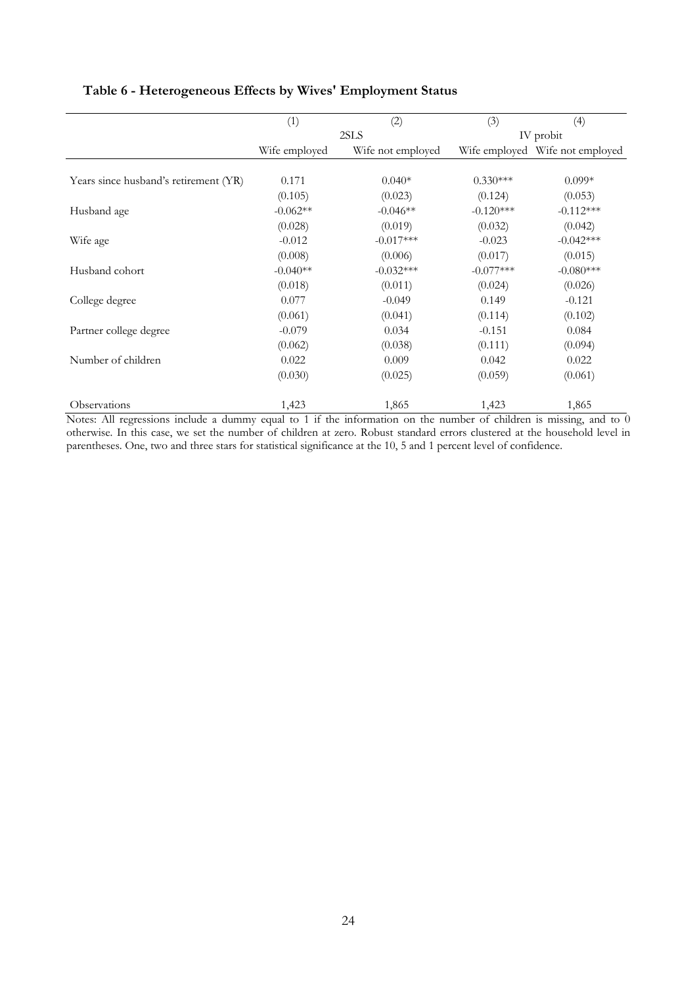|                                       | (1)           | (2)               | (3)         | (4)                             |
|---------------------------------------|---------------|-------------------|-------------|---------------------------------|
|                                       | 2SLS          |                   |             | IV probit                       |
|                                       | Wife employed | Wife not employed |             | Wife employed Wife not employed |
|                                       |               |                   |             |                                 |
| Years since husband's retirement (YR) | 0.171         | $0.040*$          | $0.330***$  | $0.099*$                        |
|                                       | (0.105)       | (0.023)           | (0.124)     | (0.053)                         |
| Husband age                           | $-0.062**$    | $-0.046**$        | $-0.120***$ | $-0.112***$                     |
|                                       | (0.028)       | (0.019)           | (0.032)     | (0.042)                         |
| Wife age                              | $-0.012$      | $-0.017***$       | $-0.023$    | $-0.042***$                     |
|                                       | (0.008)       | (0.006)           | (0.017)     | (0.015)                         |
| Husband cohort                        | $-0.040**$    | $-0.032***$       | $-0.077***$ | $-0.080***$                     |
|                                       | (0.018)       | (0.011)           | (0.024)     | (0.026)                         |
| College degree                        | 0.077         | $-0.049$          | 0.149       | $-0.121$                        |
|                                       | (0.061)       | (0.041)           | (0.114)     | (0.102)                         |
| Partner college degree                | $-0.079$      | 0.034             | $-0.151$    | 0.084                           |
|                                       | (0.062)       | (0.038)           | (0.111)     | (0.094)                         |
| Number of children                    | 0.022         | 0.009             | 0.042       | 0.022                           |
|                                       | (0.030)       | (0.025)           | (0.059)     | (0.061)                         |
| Observations                          | 1,423         | 1,865             | 1,423       | 1,865                           |

### **Table 6 - Heterogeneous Effects by Wives' Employment Status**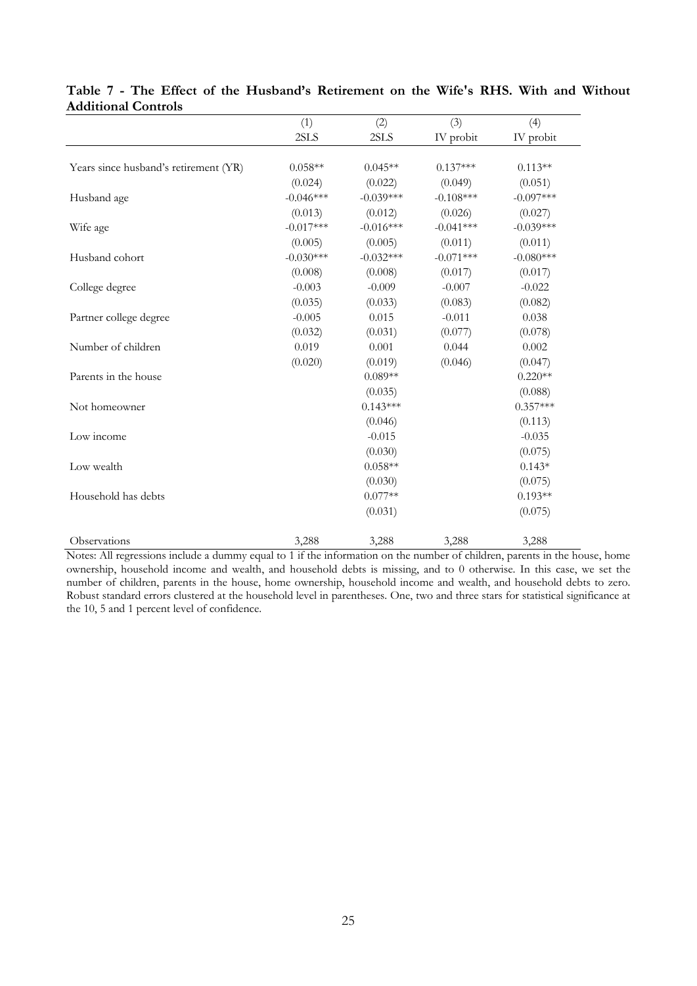|                                       | (1)         | (2)         | (3)         | (4)         |
|---------------------------------------|-------------|-------------|-------------|-------------|
|                                       | 2SLS        | 2SLS        | IV probit   | IV probit   |
|                                       |             |             |             |             |
| Years since husband's retirement (YR) | $0.058**$   | $0.045**$   | $0.137***$  | $0.113**$   |
|                                       | (0.024)     | (0.022)     | (0.049)     | (0.051)     |
| Husband age                           | $-0.046***$ | $-0.039***$ | $-0.108***$ | $-0.097***$ |
|                                       | (0.013)     | (0.012)     | (0.026)     | (0.027)     |
| Wife age                              | $-0.017***$ | $-0.016***$ | $-0.041***$ | $-0.039***$ |
|                                       | (0.005)     | (0.005)     | (0.011)     | (0.011)     |
| Husband cohort                        | $-0.030***$ | $-0.032***$ | $-0.071***$ | $-0.080***$ |
|                                       | (0.008)     | (0.008)     | (0.017)     | (0.017)     |
| College degree                        | $-0.003$    | $-0.009$    | $-0.007$    | $-0.022$    |
|                                       | (0.035)     | (0.033)     | (0.083)     | (0.082)     |
| Partner college degree                | $-0.005$    | 0.015       | $-0.011$    | 0.038       |
|                                       | (0.032)     | (0.031)     | (0.077)     | (0.078)     |
| Number of children                    | 0.019       | 0.001       | 0.044       | 0.002       |
|                                       | (0.020)     | (0.019)     | (0.046)     | (0.047)     |
| Parents in the house                  |             | $0.089**$   |             | $0.220**$   |
|                                       |             | (0.035)     |             | (0.088)     |
| Not homeowner                         |             | $0.143***$  |             | $0.357***$  |
|                                       |             | (0.046)     |             | (0.113)     |
| Low income                            |             | $-0.015$    |             | $-0.035$    |
|                                       |             | (0.030)     |             | (0.075)     |
| Low wealth                            |             | $0.058**$   |             | $0.143*$    |
|                                       |             | (0.030)     |             | (0.075)     |
| Household has debts                   |             | $0.077**$   |             | $0.193**$   |
|                                       |             | (0.031)     |             | (0.075)     |
| Observations                          | 3,288       | 3,288       | 3,288       | 3,288       |

#### **Table 7 - The Effect of the Husband's Retirement on the Wife's RHS. With and Without Additional Controls**

Notes: All regressions include a dummy equal to 1 if the information on the number of children, parents in the house, home ownership, household income and wealth, and household debts is missing, and to 0 otherwise. In this case, we set the number of children, parents in the house, home ownership, household income and wealth, and household debts to zero. Robust standard errors clustered at the household level in parentheses. One, two and three stars for statistical significance at the 10, 5 and 1 percent level of confidence.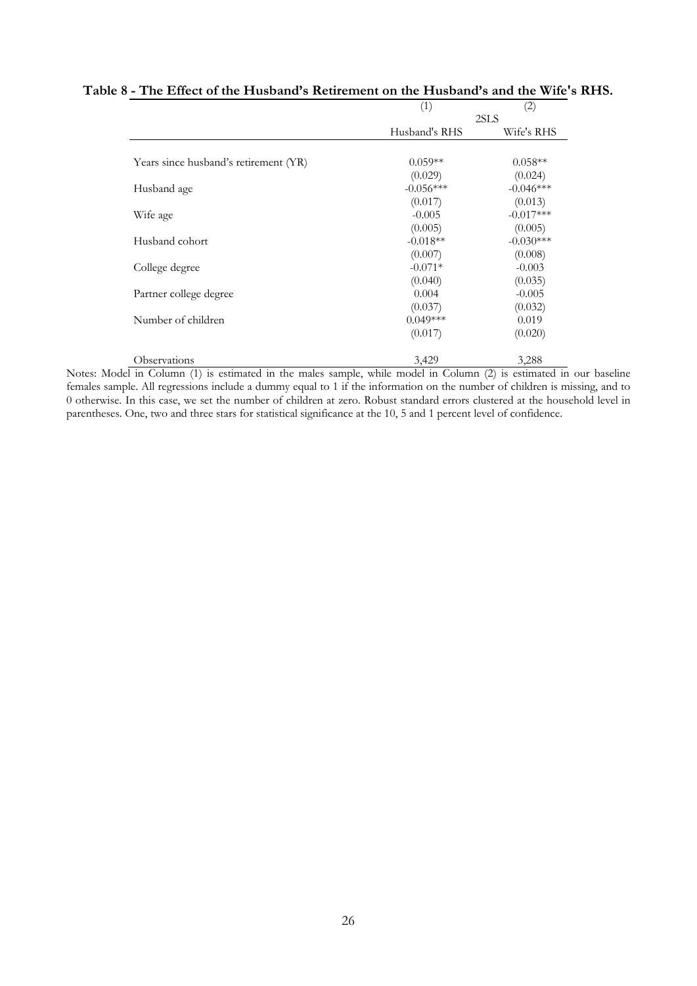|                                       | (1)           | (2)         |
|---------------------------------------|---------------|-------------|
|                                       |               | 2SLS        |
|                                       | Husband's RHS | Wife's RHS  |
| Years since husband's retirement (YR) | $0.059**$     | $0.058**$   |
|                                       | (0.029)       | (0.024)     |
| Husband age                           | $-0.056***$   | $-0.046***$ |
|                                       | (0.017)       | (0.013)     |
| Wife age                              | $-0.005$      | $-0.017***$ |
|                                       | (0.005)       | (0.005)     |
| Husband cohort                        | $-0.018**$    | $-0.030***$ |
|                                       | (0.007)       | (0.008)     |
| College degree                        | $-0.071*$     | $-0.003$    |
|                                       | (0.040)       | (0.035)     |
| Partner college degree                | 0.004         | $-0.005$    |
|                                       | (0.037)       | (0.032)     |
| Number of children                    | $0.049***$    | 0.019       |
|                                       | (0.017)       | (0.020)     |
| Observations                          | 3,429         | 3,288       |

### **Table 8 - The Effect of the Husband's Retirement on the Husband's and the Wife's RHS.**

Notes: Model in Column (1) is estimated in the males sample, while model in Column (2) is estimated in our baseline females sample. All regressions include a dummy equal to 1 if the information on the number of children is missing, and to 0 otherwise. In this case, we set the number of children at zero. Robust standard errors clustered at the household level in parentheses. One, two and three stars for statistical significance at the 10, 5 and 1 percent level of confidence.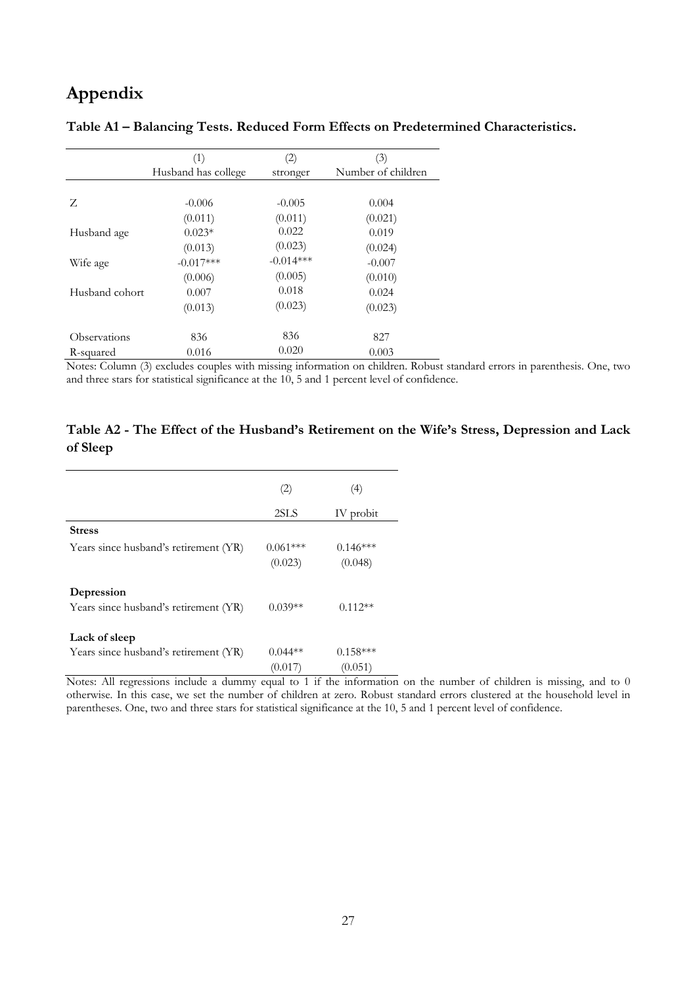# **Appendix**

|                | (1)                 | (2)         | (3)                |
|----------------|---------------------|-------------|--------------------|
|                | Husband has college | stronger    | Number of children |
|                |                     |             |                    |
| Z              | $-0.006$            | $-0.005$    | 0.004              |
|                | (0.011)             | (0.011)     | (0.021)            |
| Husband age    | $0.023*$            | 0.022       | 0.019              |
|                | (0.013)             | (0.023)     | (0.024)            |
| Wife age       | $-0.017***$         | $-0.014***$ | $-0.007$           |
|                | (0.006)             | (0.005)     | (0.010)            |
| Husband cohort | 0.007               | 0.018       | 0.024              |
|                | (0.013)             | (0.023)     | (0.023)            |
| Observations   | 836                 | 836         | 827                |
| R-squared      | 0.016               | 0.020       | 0.003              |

**Table A1 – Balancing Tests. Reduced Form Effects on Predetermined Characteristics.** 

Notes: Column (3) excludes couples with missing information on children. Robust standard errors in parenthesis. One, two and three stars for statistical significance at the 10, 5 and 1 percent level of confidence.

### **Table A2 - The Effect of the Husband's Retirement on the Wife's Stress, Depression and Lack of Sleep**

|                                                     | (2)                   | $\left(4\right)$      |
|-----------------------------------------------------|-----------------------|-----------------------|
|                                                     | 2SLS                  | IV probit             |
| <b>Stress</b>                                       |                       |                       |
| Years since husband's retirement (YR)               | $0.061***$<br>(0.023) | $0.146***$<br>(0.048) |
| Depression<br>Years since husband's retirement (YR) | $0.039**$             | $0.112**$             |
| Lack of sleep                                       |                       |                       |
| Years since husband's retirement (YR)               | $0.044**$             | $0.158***$            |
|                                                     | (0.01)                | (0.051)               |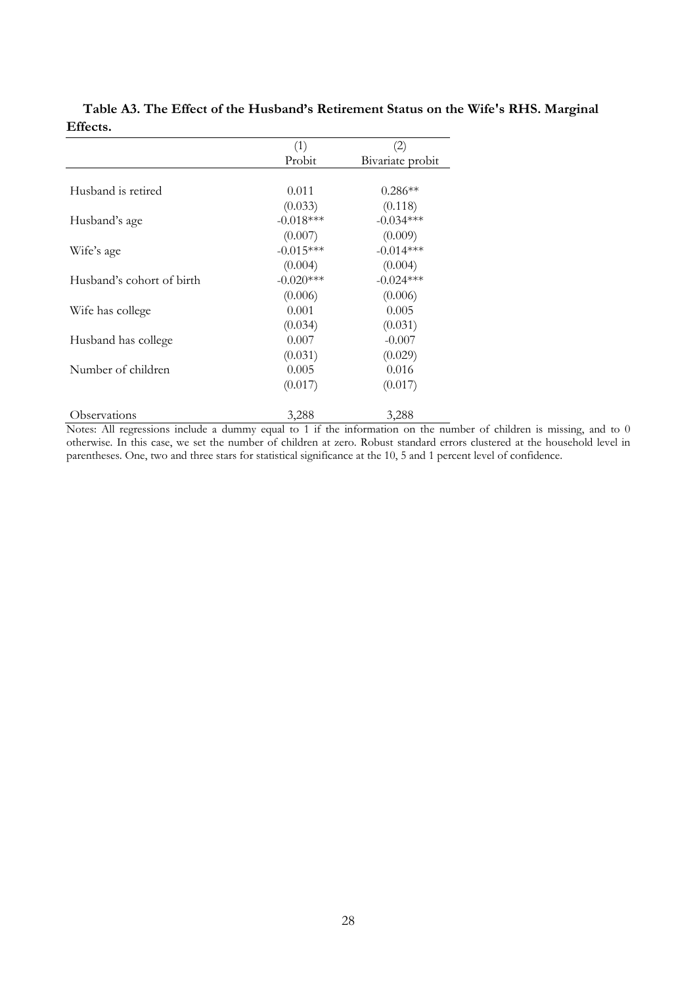|                           | (1)         | $\rm(2)$         |
|---------------------------|-------------|------------------|
|                           | Probit      | Bivariate probit |
|                           |             |                  |
| Husband is retired        | 0.011       | $0.286**$        |
|                           | (0.033)     | (0.118)          |
| Husband's age             | $-0.018***$ | $-0.034***$      |
|                           | (0.007)     | (0.009)          |
| Wife's age                | $-0.015***$ | $-0.014***$      |
|                           | (0.004)     | (0.004)          |
| Husband's cohort of birth | $-0.020***$ | $-0.024***$      |
|                           | (0.006)     | (0.006)          |
| Wife has college          | 0.001       | 0.005            |
|                           | (0.034)     | (0.031)          |
| Husband has college       | 0.007       | $-0.007$         |
|                           | (0.031)     | (0.029)          |
| Number of children        | 0.005       | 0.016            |
|                           | (0.017)     | (0.017)          |
| Observations              | 3,288       | 3,288            |

#### **Table A3. The Effect of the Husband's Retirement Status on the Wife's RHS. Marginal Effects.**   $\overline{a}$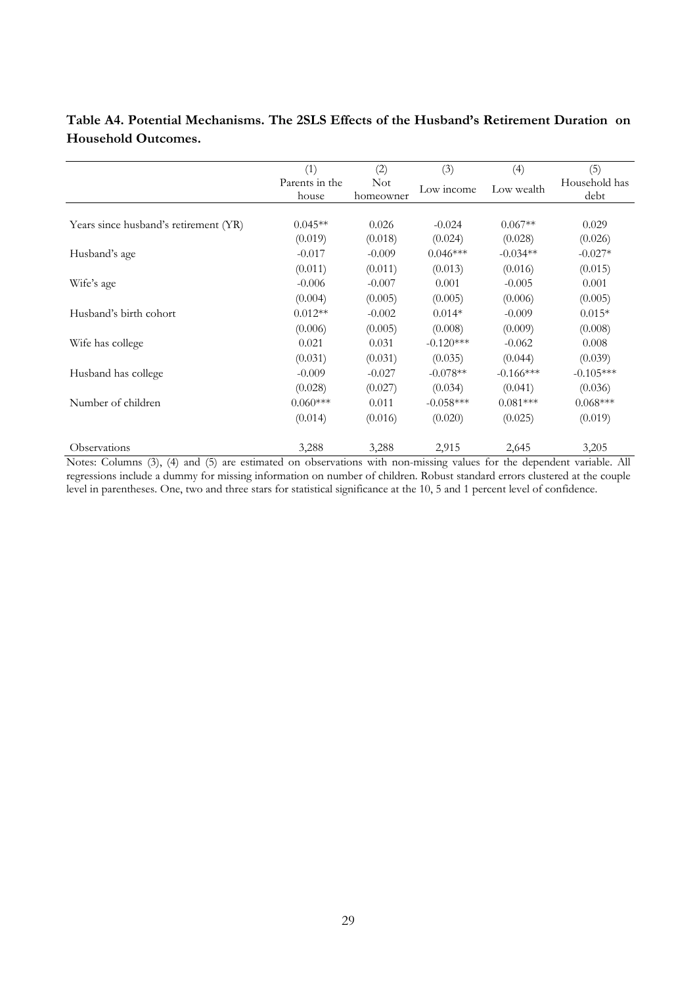| Table A4. Potential Mechanisms. The 2SLS Effects of the Husband's Retirement Duration on |  |  |  |
|------------------------------------------------------------------------------------------|--|--|--|
| Household Outcomes.                                                                      |  |  |  |
|                                                                                          |  |  |  |

|                                       | (1)            | (2)        | (3)         | (4)         | (5)           |
|---------------------------------------|----------------|------------|-------------|-------------|---------------|
|                                       | Parents in the | <b>Not</b> | Low income  | Low wealth  | Household has |
|                                       | house          | homeowner  |             |             | debt          |
|                                       |                |            |             |             |               |
| Years since husband's retirement (YR) | $0.045**$      | 0.026      | $-0.024$    | $0.067**$   | 0.029         |
|                                       | (0.019)        | (0.018)    | (0.024)     | (0.028)     | (0.026)       |
| Husband's age                         | $-0.017$       | $-0.009$   | $0.046***$  | $-0.034**$  | $-0.027*$     |
|                                       | (0.011)        | (0.011)    | (0.013)     | (0.016)     | (0.015)       |
| Wife's age                            | $-0.006$       | $-0.007$   | 0.001       | $-0.005$    | 0.001         |
|                                       | (0.004)        | (0.005)    | (0.005)     | (0.006)     | (0.005)       |
| Husband's birth cohort                | $0.012**$      | $-0.002$   | $0.014*$    | $-0.009$    | $0.015*$      |
|                                       | (0.006)        | (0.005)    | (0.008)     | (0.009)     | (0.008)       |
| Wife has college                      | 0.021          | 0.031      | $-0.120***$ | $-0.062$    | 0.008         |
|                                       | (0.031)        | (0.031)    | (0.035)     | (0.044)     | (0.039)       |
| Husband has college                   | $-0.009$       | $-0.027$   | $-0.078**$  | $-0.166***$ | $-0.105***$   |
|                                       | (0.028)        | (0.027)    | (0.034)     | (0.041)     | (0.036)       |
| Number of children                    | $0.060***$     | 0.011      | $-0.058***$ | $0.081***$  | $0.068***$    |
|                                       | (0.014)        | (0.016)    | (0.020)     | (0.025)     | (0.019)       |
| Observations                          | 3,288          | 3,288      | 2,915       | 2,645       | 3,205         |

Notes: Columns (3), (4) and (5) are estimated on observations with non-missing values for the dependent variable. All regressions include a dummy for missing information on number of children. Robust standard errors clustered at the couple level in parentheses. One, two and three stars for statistical significance at the 10, 5 and 1 percent level of confidence.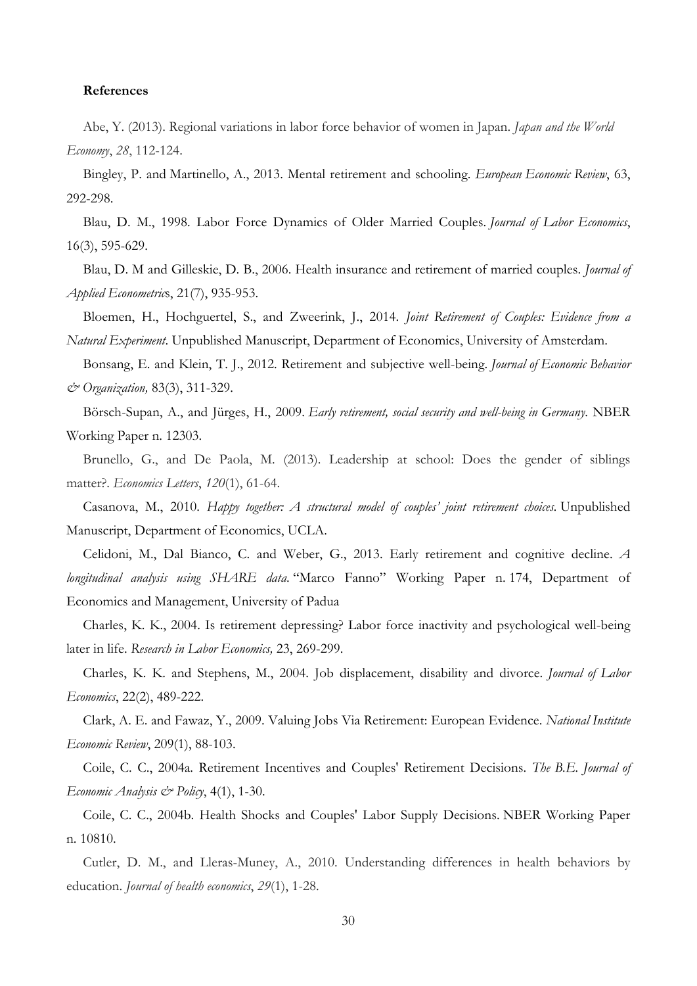#### **References**

Abe, Y. (2013). Regional variations in labor force behavior of women in Japan. *Japan and the World Economy*, *28*, 112-124.

Bingley, P. and Martinello, A., 2013. Mental retirement and schooling. *European Economic Review*, 63, 292-298.

Blau, D. M., 1998. Labor Force Dynamics of Older Married Couples. *Journal of Labor Economics*, 16(3), 595-629.

Blau, D. M and Gilleskie, D. B., 2006. Health insurance and retirement of married couples. *Journal of Applied Econometric*s, 21(7), 935-953.

Bloemen, H., Hochguertel, S., and Zweerink, J., 2014. *Joint Retirement of Couples: Evidence from a Natural Experiment*. Unpublished Manuscript, Department of Economics, University of Amsterdam.

Bonsang, E. and Klein, T. J., 2012. Retirement and subjective well-being. *Journal of Economic Behavior & Organization,* 83(3), 311-329.

Börsch-Supan, A., and Jürges, H., 2009. *Early retirement, social security and well-being in Germany*. NBER Working Paper n. 12303.

Brunello, G., and De Paola, M. (2013). Leadership at school: Does the gender of siblings matter?. *Economics Letters*, *120*(1), 61-64.

Casanova, M., 2010. *Happy together: A structural model of couples' joint retirement choices.* Unpublished Manuscript, Department of Economics, UCLA.

Celidoni, M., Dal Bianco, C. and Weber, G., 2013. Early retirement and cognitive decline. *A longitudinal analysis using SHARE data*. "Marco Fanno" Working Paper n. 174, Department of Economics and Management, University of Padua

Charles, K. K., 2004. Is retirement depressing? Labor force inactivity and psychological well-being later in life. *Research in Labor Economics,* 23, 269-299.

Charles, K. K. and Stephens, M., 2004. Job displacement, disability and divorce. *Journal of Labor Economics*, 22(2), 489-222.

Clark, A. E. and Fawaz, Y., 2009. Valuing Jobs Via Retirement: European Evidence. *National Institute Economic Review*, 209(1), 88-103.

Coile, C. C., 2004a. Retirement Incentives and Couples' Retirement Decisions. *The B.E. Journal of Economic Analysis & Policy*, 4(1), 1-30.

Coile, C. C., 2004b. Health Shocks and Couples' Labor Supply Decisions. NBER Working Paper n. 10810.

Cutler, D. M., and Lleras-Muney, A., 2010. Understanding differences in health behaviors by education. *Journal of health economics*, *29*(1), 1-28.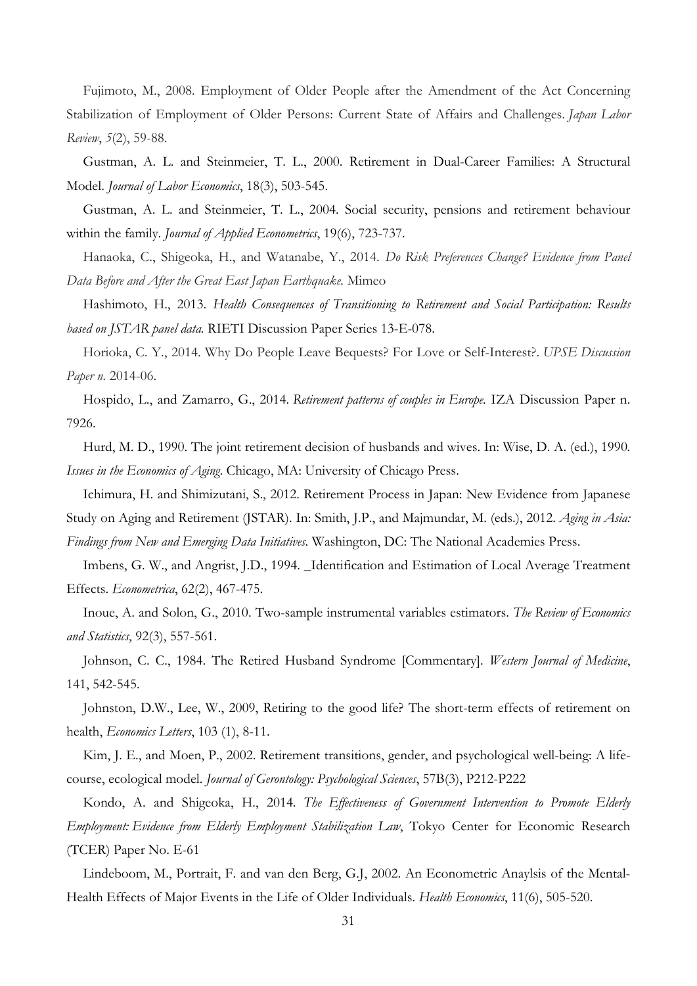Fujimoto, M., 2008. Employment of Older People after the Amendment of the Act Concerning Stabilization of Employment of Older Persons: Current State of Affairs and Challenges. *Japan Labor Review*, *5*(2), 59-88.

Gustman, A. L. and Steinmeier, T. L., 2000. Retirement in Dual-Career Families: A Structural Model. *Journal of Labor Economics*, 18(3), 503-545.

Gustman, A. L. and Steinmeier, T. L., 2004. Social security, pensions and retirement behaviour within the family. *Journal of Applied Econometrics*, 19(6), 723-737.

Hanaoka, C., Shigeoka, H., and Watanabe, Y., 2014. *Do Risk Preferences Change? Evidence from Panel Data Before and After the Great East Japan Earthquake.* Mimeo

Hashimoto, H., 2013. *Health Consequences of Transitioning to Retirement and Social Participation: Results based on JSTAR panel data.* RIETI Discussion Paper Series 13-E-078.

Horioka, C. Y., 2014. Why Do People Leave Bequests? For Love or Self-Interest?. *UPSE Discussion Paper n.* 2014-06.

Hospido, L., and Zamarro, G., 2014. *Retirement patterns of couples in Europe.* IZA Discussion Paper n. 7926.

Hurd, M. D., 1990. The joint retirement decision of husbands and wives. In: Wise, D. A. (ed.), 1990*. Issues in the Economics of Aging*. Chicago, MA: University of Chicago Press.

Ichimura, H. and Shimizutani, S., 2012. Retirement Process in Japan: New Evidence from Japanese Study on Aging and Retirement (JSTAR). In: Smith, J.P., and Majmundar, M. (eds.), 2012. *Aging in Asia: Findings from New and Emerging Data Initiatives.* Washington, DC: The National Academies Press.

Imbens, G. W., and Angrist, J.D., 1994. \_Identification and Estimation of Local Average Treatment Effects. *Econometrica*, 62(2), 467-475.

Inoue, A. and Solon, G., 2010. Two-sample instrumental variables estimators. *The Review of Economics and Statistics*, 92(3), 557-561.

Johnson, C. C., 1984. The Retired Husband Syndrome [Commentary]. *Western Journal of Medicine*, 141, 542-545.

Johnston, D.W., Lee, W., 2009, Retiring to the good life? The short-term effects of retirement on health, *Economics Letters*, 103 (1), 8-11.

Kim, J. E., and Moen, P., 2002. Retirement transitions, gender, and psychological well-being: A lifecourse, ecological model. *Journal of Gerontology: Psychological Sciences*, 57B(3), P212-P222

Kondo, A. and Shigeoka, H., 2014*. The Effectiveness of Government Intervention to Promote Elderly Employment: Evidence from Elderly Employment Stabilization Law*, Tokyo Center for Economic Research (TCER) Paper No. E-61

Lindeboom, M., Portrait, F. and van den Berg, G.J, 2002. An Econometric Anaylsis of the Mental-Health Effects of Major Events in the Life of Older Individuals. *Health Economics*, 11(6), 505-520.